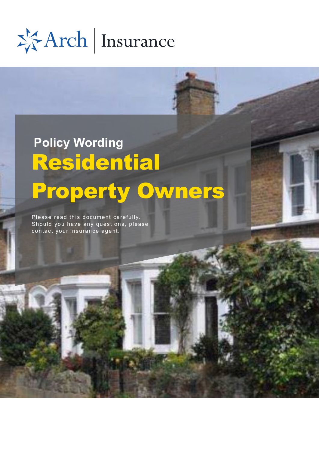\*\*Arch | Insurance

# Residential Property Owners **Policy Wording**

Please read this document carefully. Should you have any questions, please contact your insurance agent.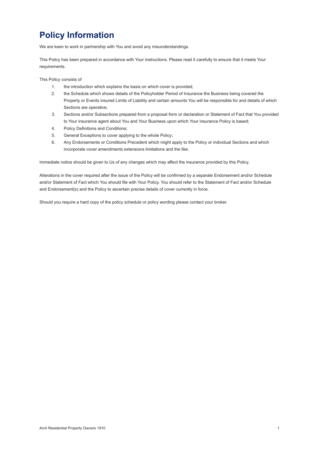# **Policy Information**

We are keen to work in partnership with You and avoid any misunderstandings.

This Policy has been prepared in accordance with Your instructions. Please read it carefully to ensure that it meets Your requirements.

This Policy consists of

- 1. the introduction which explains the basis on which cover is provided;
- 2. the Schedule which shows details of the Policyholder Period of Insurance the Business being covered the Property or Events insured Limits of Liability and certain amounts You will be responsible for and details of which Sections are operative;
- 3. Sections and/or Subsections prepared from a proposal form or declaration or Statement of Fact that You provided to Your insurance agent about You and Your Business upon which Your insurance Policy is based;
- 4. Policy Definitions and Conditions;
- 5. General Exceptions to cover applying to the whole Policy;
- 6. Any Endorsements or Conditions Precedent which might apply to the Policy or individual Sections and which incorporate cover amendments extensions limitations and the like.

Immediate notice should be given to Us of any changes which may affect the insurance provided by this Policy.

Alterations in the cover required after the issue of the Policy will be confirmed by a separate Endorsement and/or Schedule and/or Statement of Fact which You should file with Your Policy. You should refer to the Statement of Fact and/or Schedule and Endorsement(s) and the Policy to ascertain precise details of cover currently in force.

Should you require a hard copy of the policy schedule or policy wording please contact your broker.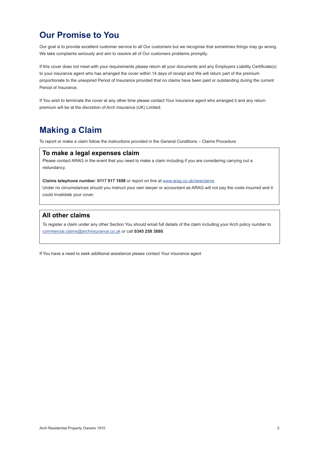### **Our Promise to You**

Our goal is to provide excellent customer service to all Our customers but we recognise that sometimes things may go wrong. We take complaints seriously and aim to resolve all of Our customers problems promptly.

If this cover does not meet with your requirements please return all your documents and any Employers Liability Certificate(s) to your insurance agent who has arranged the cover within 14 days of receipt and We will return part of the premium proportionate to the unexpired Period of Insurance provided that no claims have been paid or outstanding during the current Period of Insurance.

If You wish to terminate the cover at any other time please contact Your insurance agent who arranged it and any return premium will be at the discretion of Arch Insurance (UK) Limited.

### **Making a Claim**

To report or make a claim follow the instructions provided in the General Conditions – Claims Procedure

### **To make a legal expenses claim**

Please contact ARAG in the event that you need to make a claim including if you are considering carrying out a redundancy.

#### **Claims telephone number**: **0117 917 1698** or report on line at [www.arag.co.uk/newclaims](http://www.arag.co.uk/newclaims)

Under no circumstances should you instruct your own lawyer or accountant as ARAG will not pay the costs incurred and it could invalidate your cover.

### **All other claims**

To register a claim under any other Section You should email full details of the claim including your Arch policy number to [commercial.claims@archinsurance.co.uk](mailto:commercial.claims%40archinsurance.co.uk?subject=) or call **0345 258 3880**.

If You have a need to seek additional assistance please contact Your insurance agent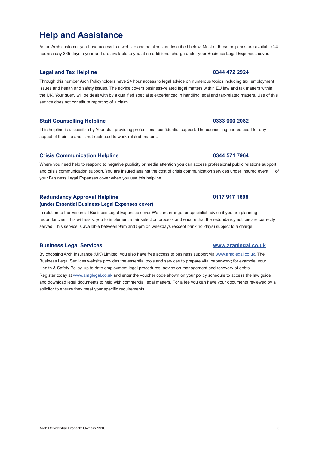# **Help and Assistance**

As an Arch customer you have access to a website and helplines as described below. Most of these helplines are available 24 hours a day 365 days a year and are available to you at no additional charge under your Business Legal Expenses cover.

#### **Legal and Tax Helpline 0344 472 2924**

Through this number Arch Policyholders have 24 hour access to legal advice on numerous topics including tax, employment issues and health and safety issues. The advice covers business-related legal matters within EU law and tax matters within the UK. Your query will be dealt with by a qualified specialist experienced in handling legal and tax-related matters. Use of this service does not constitute reporting of a claim.

#### **Staff Counselling Helpline 0333 000 2082**

This helpline is accessible by Your staff providing professional confidential support. The counselling can be used for any aspect of their life and is not restricted to work-related matters.

#### **Crisis Communication Helpline 0344 571 7964**

Where you need help to respond to negative publicity or media attention you can access professional public relations support and crisis communication support. You are insured against the cost of crisis communication services under Insured event 11 of your Business Legal Expenses cover when you use this helpline.

#### **Redundancy Approval Helpline 0117 917 1698**

### **(under Essential Business Legal Expenses cover)**

In relation to the Essential Business Legal Expenses cover We can arrange for specialist advice if you are planning redundancies. This will assist you to implement a fair selection process and ensure that the redundancy notices are correctly served. This service is available between 9am and 5pm on weekdays (except bank holidays) subject to a charge.

#### **Business Legal Services [www.araglegal.co.uk](http://www.araglegal.co.uk)**

By choosing Arch Insurance (UK) Limited, you also have free access to business support via [www.araglegal.co.uk](http://www.araglegal.co.uk). The Business Legal Services website provides the essential tools and services to prepare vital paperwork; for example, your Health & Safety Policy, up to date employment legal procedures, advice on management and recovery of debts. Register today at [www.araglegal.co.uk](http://www.araglegal.co.uk) and enter the voucher code shown on your policy schedule to access the law guide and download legal documents to help with commercial legal matters. For a fee you can have your documents reviewed by a solicitor to ensure they meet your specific requirements.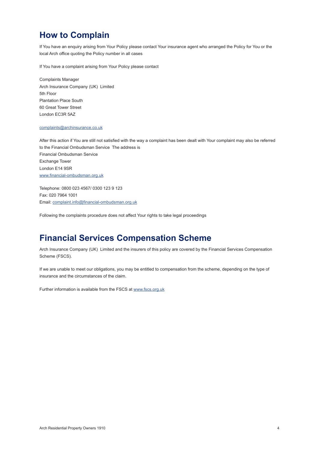### **How to Complain**

If You have an enquiry arising from Your Policy please contact Your insurance agent who arranged the Policy for You or the local Arch office quoting the Policy number in all cases

If You have a complaint arising from Your Policy please contact

Complaints Manager Arch Insurance Company (UK) Limited 5th Floor Plantation Place South 60 Great Tower Street London EC3R 5AZ

#### [complaints@archinsurance.co.uk](mailto:complaints@archinsurance.co.uk)

After this action if You are still not satisfied with the way a complaint has been dealt with Your complaint may also be referred to the Financial Ombudsman Service The address is Financial Ombudsman Service Exchange Tower London E14 9SR [www.financial-ombudsman.org.uk](http://www.financial-ombudsman.org.uk )

Telephone: 0800 023 4567/ 0300 123 9 123 Fax: 020 7964 1001 Email: [complaint.info@financial-ombudsman.org.uk](mailto:complaint.info%40financial-ombudsman.org.uk?subject=Complaint)

Following the complaints procedure does not affect Your rights to take legal proceedings

### **Financial Services Compensation Scheme**

Arch Insurance Company (UK) Limited and the insurers of this policy are covered by the Financial Services Compensation Scheme (FSCS).

If we are unable to meet our obligations, you may be entitled to compensation from the scheme, depending on the type of insurance and the circumstances of the claim.

Further information is available from the FSCS at [www.fscs.org.uk](http://www.fscs.org.uk)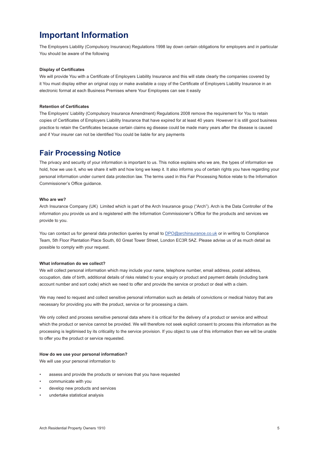### **Important Information**

The Employers Liability (Compulsory Insurance) Regulations 1998 lay down certain obligations for employers and in particular You should be aware of the following

#### **Display of Certificates**

We will provide You with a Certificate of Employers Liability Insurance and this will state clearly the companies covered by it You must display either an original copy or make available a copy of the Certificate of Employers Liability Insurance in an electronic format at each Business Premises where Your Employees can see it easily

#### **Retention of Certificates**

The Employers' Liability (Compulsory Insurance Amendment) Regulations 2008 remove the requirement for You to retain copies of Certificates of Employers Liability Insurance that have expired for at least 40 years However it is still good business practice to retain the Certificates because certain claims eg disease could be made many years after the disease is caused and if Your insurer can not be identified You could be liable for any payments

### **Fair Processing Notice**

The privacy and security of your information is important to us. This notice explains who we are, the types of information we hold, how we use it, who we share it with and how long we keep it. It also informs you of certain rights you have regarding your personal information under current data protection law. The terms used in this Fair Processing Notice relate to the Information Commissioner's Office guidance.

#### **Who are we?**

Arch Insurance Company (UK) Limited which is part of the Arch Insurance group ("Arch"). Arch is the Data Controller of the information you provide us and is registered with the Information Commissioner's Office for the products and services we provide to you.

You can contact us for general data protection queries by email to [DPO@archinsurance.co.uk](mailto:DPO%40archinsurance.co.uk?subject=) or in writing to Compliance Team, 5th Floor Plantation Place South, 60 Great Tower Street, London EC3R 5AZ. Please advise us of as much detail as possible to comply with your request.

#### **What information do we collect?**

We will collect personal information which may include your name, telephone number, email address, postal address, occupation, date of birth, additional details of risks related to your enquiry or product and payment details (including bank account number and sort code) which we need to offer and provide the service or product or deal with a claim.

We may need to request and collect sensitive personal information such as details of convictions or medical history that are necessary for providing you with the product, service or for processing a claim.

We only collect and process sensitive personal data where it is critical for the delivery of a product or service and without which the product or service cannot be provided. We will therefore not seek explicit consent to process this information as the processing is legitimised by its criticality to the service provision. If you object to use of this information then we will be unable to offer you the product or service requested.

#### **How do we use your personal information?**

We will use your personal information to

- assess and provide the products or services that you have requested
- communicate with you
- develop new products and services
- undertake statistical analysis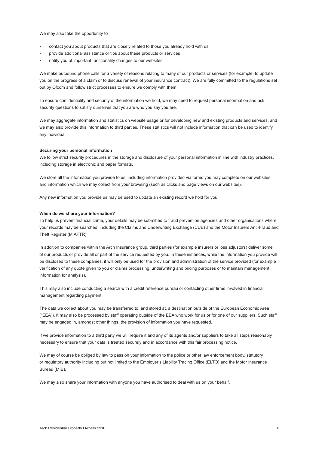We may also take the opportunity to

- contact you about products that are closely related to those you already hold with us
- provide additional assistance or tips about these products or services
- notify you of important functionality changes to our websites

We make outbound phone calls for a variety of reasons relating to many of our products or services (for example, to update you on the progress of a claim or to discuss renewal of your insurance contract). We are fully committed to the regulations set out by Ofcom and follow strict processes to ensure we comply with them.

To ensure confidentiality and security of the information we hold, we may need to request personal information and ask security questions to satisfy ourselves that you are who you say you are.

We may aggregate information and statistics on website usage or for developing new and existing products and services, and we may also provide this information to third parties. These statistics will not include information that can be used to identify any individual.

#### **Securing your personal information**

We follow strict security procedures in the storage and disclosure of your personal information in line with industry practices, including storage in electronic and paper formats.

We store all the information you provide to us, including information provided via forms you may complete on our websites, and information which we may collect from your browsing (such as clicks and page views on our websites).

Any new information you provide us may be used to update an existing record we hold for you.

#### **When do we share your information?**

To help us prevent financial crime, your details may be submitted to fraud prevention agencies and other organisations where your records may be searched, including the Claims and Underwriting Exchange (CUE) and the Motor Insurers Anti-Fraud and Theft Register (MIAFTR).

In addition to companies within the Arch Insurance group, third parties (for example insurers or loss adjustors) deliver some of our products or provide all or part of the service requested by you. In these instances, while the information you provide will be disclosed to these companies, it will only be used for the provision and administration of the service provided (for example verification of any quote given to you or claims processing, underwriting and pricing purposes or to maintain management information for analysis).

This may also include conducting a search with a credit reference bureau or contacting other firms involved in financial management regarding payment.

The data we collect about you may be transferred to, and stored at, a destination outside of the European Economic Area ("EEA"). It may also be processed by staff operating outside of the EEA who work for us or for one of our suppliers. Such staff may be engaged in, amongst other things, the provision of information you have requested.

If we provide information to a third party we will require it and any of its agents and/or suppliers to take all steps reasonably necessary to ensure that your data is treated securely and in accordance with this fair processing notice.

We may of course be obliged by law to pass on your information to the police or other law enforcement body, statutory or regulatory authority including but not limited to the Employer's Liability Tracing Office (ELTO) and the Motor Insurance Bureau (MIB).

We may also share your information with anyone you have authorised to deal with us on your behalf.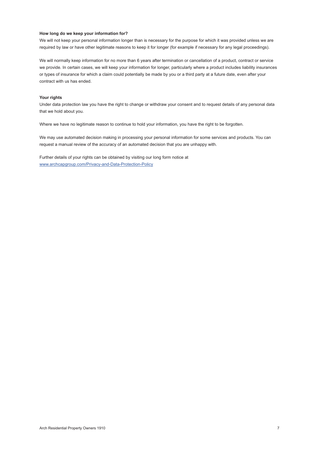#### **How long do we keep your information for?**

We will not keep your personal information longer than is necessary for the purpose for which it was provided unless we are required by law or have other legitimate reasons to keep it for longer (for example if necessary for any legal proceedings).

We will normally keep information for no more than 6 years after termination or cancellation of a product, contract or service we provide. In certain cases, we will keep your information for longer, particularly where a product includes liability insurances or types of insurance for which a claim could potentially be made by you or a third party at a future date, even after your contract with us has ended.

#### **Your rights**

Under data protection law you have the right to change or withdraw your consent and to request details of any personal data that we hold about you.

Where we have no legitimate reason to continue to hold your information, you have the right to be forgotten.

We may use automated decision making in processing your personal information for some services and products. You can request a manual review of the accuracy of an automated decision that you are unhappy with.

Further details of your rights can be obtained by visiting our long form notice at [www.archcapgroup.com/Privacy-and-Data-Protection-Policy](http://www.archcapgroup.com/Privacy-and-Data-Protection-Policy)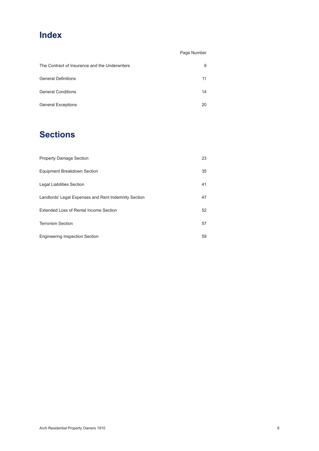### **Index**

|                                                | Page Number |
|------------------------------------------------|-------------|
| The Contract of Insurance and the Underwriters | 9           |
| <b>General Definitions</b>                     | 11          |
| <b>General Conditions</b>                      | 14          |
| <b>General Exceptions</b>                      | 20          |

# **Sections**

| <b>Property Damage Section</b>                       | 23 |
|------------------------------------------------------|----|
| Equipment Breakdown Section                          | 35 |
| Legal Liabilities Section                            | 41 |
| Landlords' Legal Expenses and Rent Indemnity Section | 47 |
| Extended Loss of Rental Income Section               | 52 |
| <b>Terrorism Section</b>                             | 57 |
| <b>Engineering Inspection Section</b>                | 59 |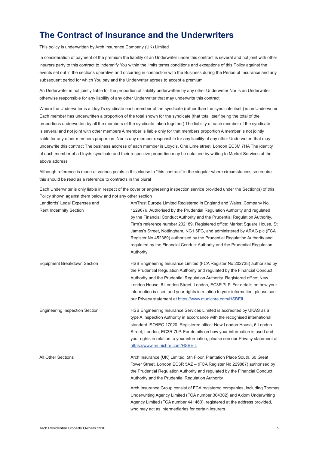### <span id="page-9-0"></span>**The Contract of Insurance and the Underwriters**

This policy is underwritten by Arch Insurance Company (UK) Limited

In consideration of payment of the premium the liability of an Underwriter under this contract is several and not joint with other insurers party to this contract to indemnify You within the limits terms conditions and exceptions of this Policy against the events set out in the sections operative and occurring in connection with the Business during the Period of Insurance and any subsequent period for which You pay and the Underwriter agrees to accept a premium

An Underwriter is not jointly liable for the proportion of liability underwritten by any other Underwriter Nor is an Underwriter otherwise responsible for any liability of any other Underwriter that may underwrite this contract

Where the Underwriter is a Lloyd's syndicate each member of the syndicate (rather than the syndicate itself) is an Underwriter Each member has underwritten a proportion of the total shown for the syndicate (that total itself being the total of the proportions underwritten by all the members of the syndicate taken together) The liability of each member of the syndicate is several and not joint with other members A member is liable only for that members proportion A member is not jointly liable for any other members proportion Nor is any member responsible for any liability of any other Underwriter that may underwrite this contract The business address of each member is Lloyd's, One Lime street, London EC3M 7HA The identity of each member of a Lloyds syndicate and their respective proportion may be obtained by writing to Market Services at the above address

Although reference is made at various points in this clause to "this contract" in the singular where circumstances so require this should be read as a reference to contracts in the plural

Each Underwriter is only liable in respect of the cover or engineering inspection service provided under the Section(s) of this Policy shown against them below and not any other section

| Landlords' Legal Expenses and<br><b>Rent Indemnity Section</b> | AmTrust Europe Limited Registered in England and Wales. Company No.<br>1229676. Authorised by the Prudential Regulation Authority and regulated<br>by the Financial Conduct Authority and the Prudential Regulation Authority.<br>Firm's reference number 202189. Registered office: Market Square House, St<br>James's Street, Nottingham, NG1 6FG, and administered by ARAG plc (FCA<br>Register No 452369) authorised by the Prudential Regulation Authority and<br>regulated by the Financial Conduct Authority and the Prudential Regulation<br>Authority |
|----------------------------------------------------------------|----------------------------------------------------------------------------------------------------------------------------------------------------------------------------------------------------------------------------------------------------------------------------------------------------------------------------------------------------------------------------------------------------------------------------------------------------------------------------------------------------------------------------------------------------------------|
| Equipment Breakdown Section                                    | HSB Engineering Insurance Limited (FCA Register No 202738) authorised by<br>the Prudential Regulation Authority and regulated by the Financial Conduct<br>Authority and the Prudential Regulation Authority. Registered office: New<br>London House, 6 London Street, London, EC3R 7LP. For details on how your<br>information is used and your rights in relation to your information, please see<br>our Privacy statement at https://www.munichre.com/HSBEIL                                                                                                 |
| <b>Engineering Inspection Section</b>                          | HSB Engineering Insurance Services Limited is accredited by UKAS as a<br>type A Inspection Authority in accordance with the recognised international<br>standard ISO/IEC 17020. Registered office: New London House, 6 London<br>Street, London, EC3R 7LP. For details on how your information is used and<br>your rights in relation to your information, please see our Privacy statement at<br>https://www.munichre.com/HSBEIL                                                                                                                              |
| All Other Sections                                             | Arch Insurance (UK) Limited, 5th Floor, Plantation Place South, 60 Great<br>Tower Street, London EC3R 5AZ - (FCA Register No 229887) authorised by<br>the Prudential Regulation Authority and regulated by the Financial Conduct<br>Authority and the Prudential Regulation Authority                                                                                                                                                                                                                                                                          |
|                                                                | Arch Insurance Group consist of FCA registered companies, including Thomas<br>Underwriting Agency Limited (FCA number 304302) and Axiom Underwriting<br>Agency Limited (FCA number 441460), registered at the address provided,<br>who may act as intermediaries for certain insurers.                                                                                                                                                                                                                                                                         |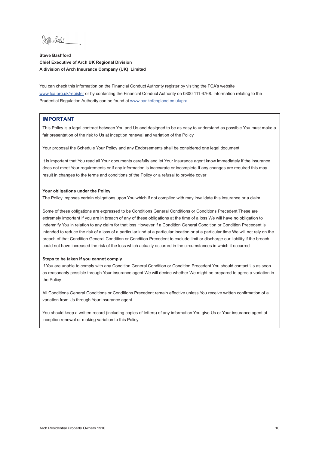Jelho Sode

#### **Steve Bashford Chief Executive of Arch UK Regional Division A division of Arch Insurance Company (UK) Limited**

You can check this information on the Financial Conduct Authority register by visiting the FCA's website [www.fca.org.uk/register](http://www.fca.org.uk/register) or by contacting the Financial Conduct Authority on 0800 111 6768. Information relating to the Prudential Regulation Authority can be found at [www.bankofengland.co.uk/pra](http://www.bankofengland.co.uk/pra)

#### **IMPORTANT**

This Policy is a legal contract between You and Us and designed to be as easy to understand as possible You must make a fair presentation of the risk to Us at inception renewal and variation of the Policy

Your proposal the Schedule Your Policy and any Endorsements shall be considered one legal document

It is important that You read all Your documents carefully and let Your insurance agent know immediately if the insurance does not meet Your requirements or if any information is inaccurate or incomplete If any changes are required this may result in changes to the terms and conditions of the Policy or a refusal to provide cover

#### **Your obligations under the Policy**

The Policy imposes certain obligations upon You which if not complied with may invalidate this insurance or a claim

Some of these obligations are expressed to be Conditions General Conditions or Conditions Precedent These are extremely important If you are in breach of any of these obligations at the time of a loss We will have no obligation to indemnify You in relation to any claim for that loss However if a Condition General Condition or Condition Precedent is intended to reduce the risk of a loss of a particular kind at a particular location or at a particular time We will not rely on the breach of that Condition General Condition or Condition Precedent to exclude limit or discharge our liability if the breach could not have increased the risk of the loss which actually occurred in the circumstances in which it occurred

#### **Steps to be taken if you cannot comply**

If You are unable to comply with any Condition General Condition or Condition Precedent You should contact Us as soon as reasonably possible through Your insurance agent We will decide whether We might be prepared to agree a variation in the Policy

All Conditions General Conditions or Conditions Precedent remain effective unless You receive written confirmation of a variation from Us through Your insurance agent

You should keep a written record (including copies of letters) of any information You give Us or Your insurance agent at inception renewal or making variation to this Policy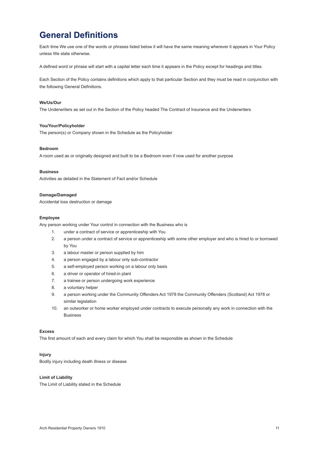### <span id="page-11-0"></span>**General Definitions**

Each time We use one of the words or phrases listed below it will have the same meaning wherever it appears in Your Policy unless We state otherwise.

A defined word or phrase will start with a capital letter each time it appears in the Policy except for headings and titles.

Each Section of the Policy contains definitions which apply to that particular Section and they must be read in conjunction with the following General Definitions.

#### **We/Us/Our**

The Underwriters as set out in the Section of the Policy headed The Contract of Insurance and the Underwriters

#### **You/Your/Policyholder**

The person(s) or Company shown in the Schedule as the Policyholder

#### **Bedroom**

A room used as or originally designed and built to be a Bedroom even if now used for another purpose

#### **Business**

Activities as detailed in the Statement of Fact and/or Schedule

#### **Damage/Damaged**

Accidental loss destruction or damage

#### **Employee**

Any person working under Your control in connection with the Business who is

- 1. under a contract of service or apprenticeship with You
- 2. a person under a contract of service or apprenticeship with some other employer and who is hired to or borrowed by You
- 3. a labour master or person supplied by him
- 4. a person engaged by a labour only sub-contractor
- 5. a self-employed person working on a labour only basis
- 6. a driver or operator of hired-in plant
- 7. a trainee or person undergoing work experience
- 8. a voluntary helper
- 9. a person working under the Community Offenders Act 1978 the Community Offenders (Scotland) Act 1978 or similar legislation
- 10. an outworker or home worker employed under contracts to execute personally any work in connection with the Business

#### **Excess**

The first amount of each and every claim for which You shall be responsible as shown in the Schedule

#### **Injury**

Bodily injury including death illness or disease

#### **Limit of Liability**

The Limit of Liability stated in the Schedule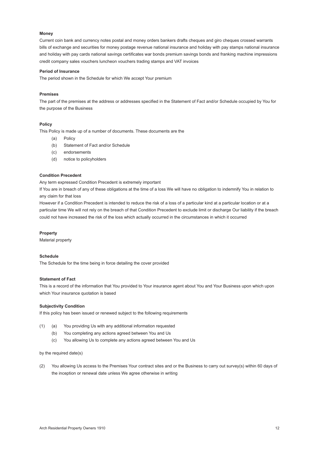#### **Money**

Current coin bank and currency notes postal and money orders bankers drafts cheques and giro cheques crossed warrants bills of exchange and securities for money postage revenue national insurance and holiday with pay stamps national insurance and holiday with pay cards national savings certificates war bonds premium savings bonds and franking machine impressions credit company sales vouchers luncheon vouchers trading stamps and VAT invoices

#### **Period of Insurance**

The period shown in the Schedule for which We accept Your premium

#### **Premises**

The part of the premises at the address or addresses specified in the Statement of Fact and/or Schedule occupied by You for the purpose of the Business

#### **Policy**

This Policy is made up of a number of documents. These documents are the

- (a) Policy
- (b) Statement of Fact and/or Schedule
- (c) endorsements
- (d) notice to policyholders

#### **Condition Precedent**

Any term expressed Condition Precedent is extremely important

If You are in breach of any of these obligations at the time of a loss We will have no obligation to indemnify You in relation to any claim for that loss

However if a Condition Precedent is intended to reduce the risk of a loss of a particular kind at a particular location or at a particular time We will not rely on the breach of that Condition Precedent to exclude limit or discharge Our liability if the breach could not have increased the risk of the loss which actually occurred in the circumstances in which it occurred

#### **Property**

Material property

#### **Schedule**

The Schedule for the time being in force detailing the cover provided

#### **Statement of Fact**

This is a record of the information that You provided to Your insurance agent about You and Your Business upon which upon which Your insurance quotation is based

#### **Subjectivity Condition**

If this policy has been issued or renewed subject to the following requirements

- (1) (a) You providing Us with any additional information requested
	- (b) You completing any actions agreed between You and Us
	- (c) You allowing Us to complete any actions agreed between You and Us

by the required date(s)

(2) You allowing Us access to the Premises Your contract sites and or the Business to carry out survey(s) within 60 days of the inception or renewal date unless We agree otherwise in writing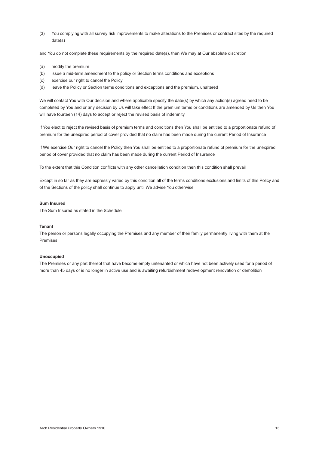(3) You complying with all survey risk improvements to make alterations to the Premises or contract sites by the required date(s)

and You do not complete these requirements by the required date(s), then We may at Our absolute discretion

- (a) modify the premium
- (b) issue a mid-term amendment to the policy or Section terms conditions and exceptions
- (c) exercise our right to cancel the Policy
- (d) leave the Policy or Section terms conditions and exceptions and the premium, unaltered

We will contact You with Our decision and where applicable specify the date(s) by which any action(s) agreed need to be completed by You and or any decision by Us will take effect If the premium terms or conditions are amended by Us then You will have fourteen (14) days to accept or reject the revised basis of indemnity

If You elect to reject the revised basis of premium terms and conditions then You shall be entitled to a proportionate refund of premium for the unexpired period of cover provided that no claim has been made during the current Period of Insurance

If We exercise Our right to cancel the Policy then You shall be entitled to a proportionate refund of premium for the unexpired period of cover provided that no claim has been made during the current Period of Insurance

To the extent that this Condition conflicts with any other cancellation condition then this condition shall prevail

Except in so far as they are expressly varied by this condition all of the terms conditions exclusions and limits of this Policy and of the Sections of the policy shall continue to apply until We advise You otherwise

#### **Sum Insured**

The Sum Insured as stated in the Schedule

#### **Tenant**

The person or persons legally occupying the Premises and any member of their family permanently living with them at the Premises

#### **Unoccupied**

The Premises or any part thereof that have become empty untenanted or which have not been actively used for a period of more than 45 days or is no longer in active use and is awaiting refurbishment redevelopment renovation or demolition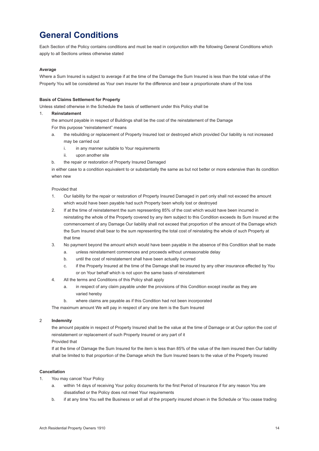### <span id="page-14-0"></span>**General Conditions**

Each Section of the Policy contains conditions and must be read in conjunction with the following General Conditions which apply to all Sections unless otherwise stated

#### **Average**

Where a Sum Insured is subject to average if at the time of the Damage the Sum Insured is less than the total value of the Property You will be considered as Your own insurer for the difference and bear a proportionate share of the loss

#### **Basis of Claims Settlement for Property**

Unless stated otherwise in the Schedule the basis of settlement under this Policy shall be

#### 1. **Reinstatement**

the amount payable in respect of Buildings shall be the cost of the reinstatement of the Damage For this purpose "reinstatement" means

- a. the rebuilding or replacement of Property Insured lost or destroyed which provided Our liability is not increased may be carried out
	- i. in any manner suitable to Your requirements
	- ii. upon another site
- b. the repair or restoration of Property Insured Damaged

 in either case to a condition equivalent to or substantially the same as but not better or more extensive than its condition when new

#### Provided that

- 1. Our liability for the repair or restoration of Property Insured Damaged in part only shall not exceed the amount which would have been payable had such Property been wholly lost or destroyed
- 2. If at the time of reinstatement the sum representing 85% of the cost which would have been incurred in reinstating the whole of the Property covered by any item subject to this Condition exceeds its Sum Insured at the commencement of any Damage Our liability shall not exceed that proportion of the amount of the Damage which the Sum Insured shall bear to the sum representing the total cost of reinstating the whole of such Property at that time
- 3. No payment beyond the amount which would have been payable in the absence of this Condition shall be made
	- a. unless reinstatement commences and proceeds without unreasonable delay
	- b. until the cost of reinstatement shall have been actually incurred
	- c. if the Property Insured at the time of the Damage shall be insured by any other insurance effected by You or on Your behalf which is not upon the same basis of reinstatement
- 4. All the terms and Conditions of this Policy shall apply
	- a. in respect of any claim payable under the provisions of this Condition except insofar as they are varied hereby
	- b. where claims are payable as if this Condition had not been incorporated

The maximum amount We will pay in respect of any one item is the Sum Insured

#### 2 **Indemnity**

 the amount payable in respect of Property Insured shall be the value at the time of Damage or at Our option the cost of reinstatement or replacement of such Property Insured or any part of it

#### Provided that

 If at the time of Damage the Sum Insured for the item is less than 85% of the value of the item insured then Our liability shall be limited to that proportion of the Damage which the Sum Insured bears to the value of the Property Insured

#### **Cancellation**

- 1. You may cancel Your Policy
	- a. within 14 days of receiving Your policy documents for the first Period of Insurance if for any reason You are dissatisfied or the Policy does not meet Your requirements
	- b. if at any time You sell the Business or sell all of the property insured shown in the Schedule or You cease trading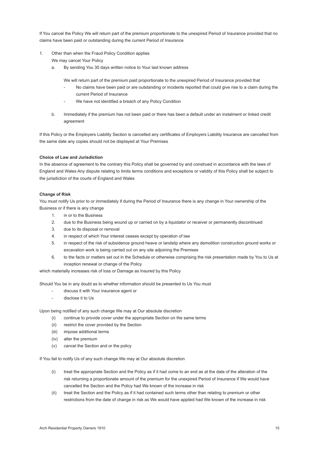If You cancel the Policy We will return part of the premium proportionate to the unexpired Period of Insurance provided that no claims have been paid or outstanding during the current Period of Insurance

- 1. Other than when the Fraud Policy Condition applies We may cancel Your Policy
	- a. By sending You 30 days written notice to Your last known address

We will return part of the premium paid proportionate to the unexpired Period of Insurance provided that

- No claims have been paid or are outstanding or incidents reported that could give rise to a claim during the current Period of Insurance
- We have not identified a breach of any Policy Condition
- b. Immediately if the premium has not been paid or there has been a default under an instalment or linked credit agreement

If this Policy or the Employers Liability Section is cancelled any certificates of Employers Liability Insurance are cancelled from the same date any copies should not be displayed at Your Premises

#### **Choice of Law and Jurisdiction**

In the absence of agreement to the contrary this Policy shall be governed by and construed in accordance with the laws of England and Wales Any dispute relating to limits terms conditions and exceptions or validity of this Policy shall be subject to the jurisdiction of the courts of England and Wales

#### **Change of Risk**

You must notify Us prior to or immediately if during the Period of Insurance there is any change in Your ownership of the Business or if there is any change

- 1. in or to the Business
- 2. due to the Business being wound up or carried on by a liquidator or receiver or permanently discontinued
- 3. due to its disposal or removal
- 4. in respect of which Your interest ceases except by operation of law
- 5. in respect of the risk of subsidence ground heave or landslip where any demolition construction ground works or excavation work is being carried out on any site adjoining the Premises
- 6. to the facts or matters set out in the Schedule or otherwise comprising the risk presentation made by You to Us at inception renewal or change of the Policy

which materially increases risk of loss or Damage as Insured by this Policy

Should You be in any doubt as to whether information should be presented to Us You must

- discuss it with Your insurance agent or
- disclose it to Us

Upon being notified of any such change We may at Our absolute discretion

- (i) continue to provide cover under the appropriate Section on the same terms
- (ii) restrict the cover provided by the Section
- (iii) impose additional terms
- (iv) alter the premium
- (v) cancel the Section and or the policy

If You fail to notify Us of any such change We may at Our absolute discretion

- (i) treat the appropriate Section and the Policy as if it had come to an end as at the date of the alteration of the risk returning a proportionate amount of the premium for the unexpired Period of Insurance if We would have cancelled the Section and the Policy had We known of the increase in risk
- (ii) treat the Section and the Policy as if it had contained such terms other than relating to premium or other restrictions from the date of change in risk as We would have applied had We known of the increase in risk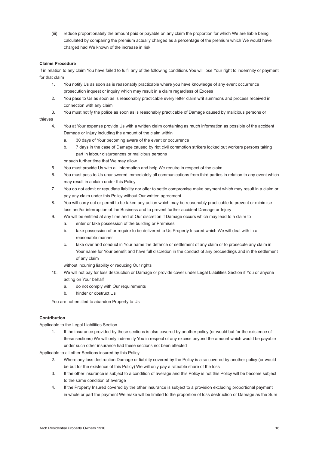(iii) reduce proportionately the amount paid or payable on any claim the proportion for which We are liable being calculated by comparing the premium actually charged as a percentage of the premium which We would have charged had We known of the increase in risk

#### **Claims Procedure**

If in relation to any claim You have failed to fulfil any of the following conditions You will lose Your right to indemnity or payment for that claim

- 1. You notify Us as soon as is reasonably practicable where you have knowledge of any event occurrence prosecution inquest or inquiry which may result in a claim regardless of Excess
- 2. You pass to Us as soon as is reasonably practicable every letter claim writ summons and process received in connection with any claim
- 3. You must notify the police as soon as is reasonably practicable of Damage caused by malicious persons or

#### thieves

- 4. You at Your expense provide Us with a written claim containing as much information as possible of the accident Damage or Injury including the amount of the claim within
	- a. 30 days of Your becoming aware of the event or occurrence
	- b. 7 days in the case of Damage caused by riot civil commotion strikers locked out workers persons taking part in labour disturbances or malicious persons
	- or such further time that We may allow
- 5. You must provide Us with all information and help We require in respect of the claim
- 6. You must pass to Us unanswered immediately all communications from third parties in relation to any event which may result in a claim under this Policy
- 7. You do not admit or repudiate liability nor offer to settle compromise make payment which may result in a claim or pay any claim under this Policy without Our written agreement
- 8. You will carry out or permit to be taken any action which may be reasonably practicable to prevent or minimise loss and/or interruption of the Business and to prevent further accident Damage or Injury
- 9. We will be entitled at any time and at Our discretion if Damage occurs which may lead to a claim to
	- a. enter or take possession of the building or Premises
	- b. take possession of or require to be delivered to Us Property Insured which We will deal with in a reasonable manner
	- c. take over and conduct in Your name the defence or settlement of any claim or to prosecute any claim in Your name for Your benefit and have full discretion in the conduct of any proceedings and in the settlement of any claim
	- without incurring liability or reducing Our rights
- 10. We will not pay for loss destruction or Damage or provide cover under Legal Liabilities Section if You or anyone acting on Your behalf
	- a. do not comply with Our requirements
	- b. hinder or obstruct Us

You are not entitled to abandon Property to Us

#### **Contribution**

Applicable to the Legal Liabilities Section

1. If the insurance provided by these sections is also covered by another policy (or would but for the existence of these sections) We will only indemnify You in respect of any excess beyond the amount which would be payable under such other insurance had these sections not been effected

Applicable to all other Sections insured by this Policy

- 2. Where any loss destruction Damage or liability covered by the Policy is also covered by another policy (or would be but for the existence of this Policy) We will only pay a rateable share of the loss
- 3. If the other insurance is subject to a condition of average and this Policy is not this Policy will be become subject to the same condition of average
- 4. If the Property Insured covered by the other insurance is subject to a provision excluding proportional payment in whole or part the payment We make will be limited to the proportion of loss destruction or Damage as the Sum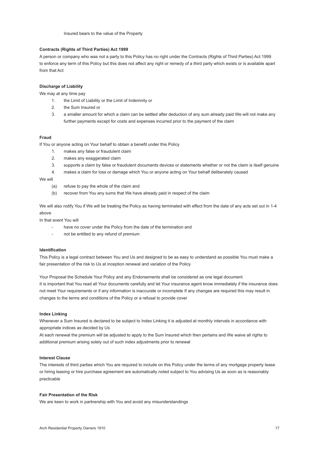#### **Contracts (Rights of Third Parties) Act 1999**

A person or company who was not a party to this Policy has no right under the Contracts (Rights of Third Parties) Act 1999 to enforce any term of this Policy but this does not affect any right or remedy of a third party which exists or is available apart from that Act

#### **Discharge of Liability**

We may at any time pay

- 1. the Limit of Liability or the Limit of Indemnity or
- 2. the Sum Insured or
- 3. a smaller amount for which a claim can be settled after deduction of any sum already paid We will not make any further payments except for costs and expenses incurred prior to the payment of the claim

#### **Fraud**

If You or anyone acting on Your behalf to obtain a benefit under this Policy

- 1. makes any false or fraudulent claim
- 2. makes any exaggerated claim
- 3. supports a claim by false or fraudulent documents devices or statements whether or not the claim is itself genuine
- 4. makes a claim for loss or damage which You or anyone acting on Your behalf deliberately caused

We will

- (a) refuse to pay the whole of the claim and
- (b) recover from You any sums that We have already paid in respect of the claim

We will also notify You if We will be treating the Policy as having terminated with effect from the date of any acts set out in 1-4 above

In that event You will

- have no cover under the Policy from the date of the termination and
- not be entitled to any refund of premium

#### **Identification**

This Policy is a legal contract between You and Us and designed to be as easy to understand as possible You must make a fair presentation of the risk to Us at inception renewal and variation of the Policy

Your Proposal the Schedule Your Policy and any Endorsements shall be considered as one legal document It is important that You read all Your documents carefully and let Your insurance agent know immediately if the insurance does not meet Your requirements or if any information is inaccurate or incomplete If any changes are required this may result in changes to the terms and conditions of the Policy or a refusal to provide cover

#### **Index Linking**

Whenever a Sum Insured is declared to be subject to Index Linking it is adjusted at monthly intervals in accordance with appropriate indices as decided by Us

At each renewal the premium will be adjusted to apply to the Sum Insured which then pertains and We waive all rights to additional premium arising solely out of such index adjustments prior to renewal

#### **Interest Clause**

The interests of third parties which You are required to include on this Policy under the terms of any mortgage property lease or hiring leasing or hire purchase agreement are automatically noted subject to You advising Us as soon as is reasonably practicable

#### **Fair Presentation of the Risk**

We are keen to work in partnership with You and avoid any misunderstandings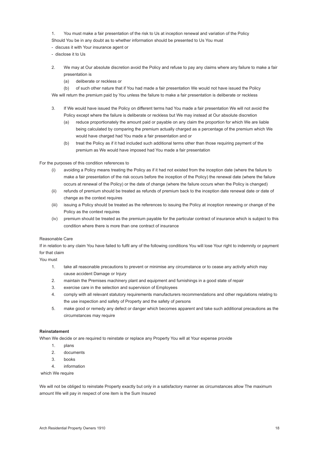1. You must make a fair presentation of the risk to Us at inception renewal and variation of the Policy Should You be in any doubt as to whether information should be presented to Us You must

- discuss it with Your insurance agent or
- disclose it to Us
- 2. We may at Our absolute discretion avoid the Policy and refuse to pay any claims where any failure to make a fair presentation is
	- (a) deliberate or reckless or

 (b) of such other nature that if You had made a fair presentation We would not have issued the Policy We will return the premium paid by You unless the failure to make a fair presentation is deliberate or reckless

- 3. If We would have issued the Policy on different terms had You made a fair presentation We will not avoid the Policy except where the failure is deliberate or reckless but We may instead at Our absolute discretion
	- (a) reduce proportionately the amount paid or payable on any claim the proportion for which We are liable being calculated by comparing the premium actually charged as a percentage of the premium which We would have charged had You made a fair presentation and or
	- (b) treat the Policy as if it had included such additional terms other than those requiring payment of the premium as We would have imposed had You made a fair presentation

For the purposes of this condition references to

- (i) avoiding a Policy means treating the Policy as if it had not existed from the inception date (where the failure to make a fair presentation of the risk occurs before the inception of the Policy) the renewal date (where the failure occurs at renewal of the Policy) or the date of change (where the failure occurs when the Policy is changed)
- (ii) refunds of premium should be treated as refunds of premium back to the inception date renewal date or date of change as the context requires
- (iii) issuing a Policy should be treated as the references to issuing the Policy at inception renewing or change of the Policy as the context requires
- (iv) premium should be treated as the premium payable for the particular contract of insurance which is subject to this condition where there is more than one contract of insurance

#### Reasonable Care

If in relation to any claim You have failed to fulfil any of the following conditions You will lose Your right to indemnity or payment for that claim

You must

- 1. take all reasonable precautions to prevent or minimise any circumstance or to cease any activity which may cause accident Damage or Injury
- 2. maintain the Premises machinery plant and equipment and furnishings in a good state of repair
- 3. exercise care in the selection and supervision of Employees
- 4. comply with all relevant statutory requirements manufacturers recommendations and other regulations relating to the use inspection and safety of Property and the safety of persons
- 5. make good or remedy any defect or danger which becomes apparent and take such additional precautions as the circumstances may require

#### **Reinstatement**

When We decide or are required to reinstate or replace any Property You will at Your expense provide

- 1. plans
- 2. documents
- 3. books
- 4. information

which We require

We will not be obliged to reinstate Property exactly but only in a satisfactory manner as circumstances allow The maximum amount We will pay in respect of one item is the Sum Insured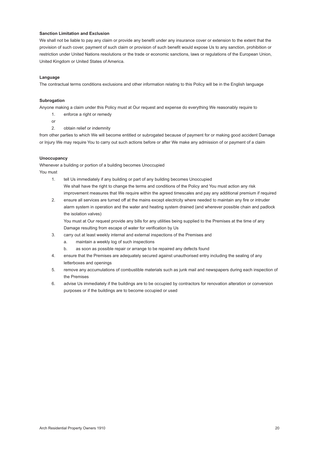#### <span id="page-20-0"></span>**Sanction Limitation and Exclusion**

We shall not be liable to pay any claim or provide any benefit under any insurance cover or extension to the extent that the provision of such cover, payment of such claim or provision of such benefit would expose Us to any sanction, prohibition or restriction under United Nations resolutions or the trade or economic sanctions, laws or regulations of the European Union, United Kingdom or United States of America.

#### **Language**

The contractual terms conditions exclusions and other information relating to this Policy will be in the English language

#### **Subrogation**

Anyone making a claim under this Policy must at Our request and expense do everything We reasonably require to

- 1. enforce a right or remedy
- or
- 2. obtain relief or indemnity

from other parties to which We will become entitled or subrogated because of payment for or making good accident Damage or Injury We may require You to carry out such actions before or after We make any admission of or payment of a claim

#### **Unoccupancy**

Whenever a building or portion of a building becomes Unoccupied

You must

- 1. tell Us immediately if any building or part of any building becomes Unoccupied We shall have the right to change the terms and conditions of the Policy and You must action any risk improvement measures that We require within the agreed timescales and pay any additional premium if required
- 2. ensure all services are turned off at the mains except electricity where needed to maintain any fire or intruder alarm system in operation and the water and heating system drained (and wherever possible chain and padlock the isolation valves)

 You must at Our request provide any bills for any utilities being supplied to the Premises at the time of any Damage resulting from escape of water for verification by Us

- 3. carry out at least weekly internal and external inspections of the Premises and
	- a. maintain a weekly log of such inspections
	- b. as soon as possible repair or arrange to be repaired any defects found
- 4. ensure that the Premises are adequately secured against unauthorised entry including the sealing of any letterboxes and openings
- 5. remove any accumulations of combustible materials such as junk mail and newspapers during each inspection of the Premises
- 6. advise Us immediately if the buildings are to be occupied by contractors for renovation alteration or conversion purposes or if the buildings are to become occupied or used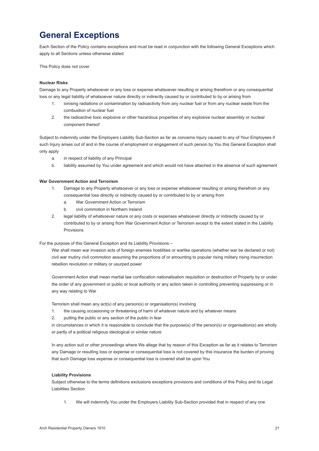### **General Exceptions**

Each Section of the Policy contains exceptions and must be read in conjunction with the following General Exceptions which apply to all Sections unless otherwise stated

This Policy does not cover

#### **Nuclear Risks**

Damage to any Property whatsoever or any loss or expense whatsoever resulting or arising therefrom or any consequential loss or any legal liability of whatsoever nature directly or indirectly caused by or contributed to by or arising from

- ionising radiations or contamination by radioactivity from any nuclear fuel or from any nuclear waste from the combustion of nuclear fuel
- 2. the radioactive toxic explosive or other hazardous properties of any explosive nuclear assembly or nuclear component thereof

Subject to indemnity under the Employers Liability Sub-Section as far as concerns Injury caused to any of Your Employees if such Injury arises out of and in the course of employment or engagement of such person by You this General Exception shall only apply

- a. in respect of liability of any Principal
- b. liability assumed by You under agreement and which would not have attached in the absence of such agreement

#### **War Government Action and Terrorism**

- 1. Damage to any Property whatsoever or any loss or expense whatsoever resulting or arising therefrom or any consequential loss directly or indirectly caused by or contributed to by or arising from
	- a. War Government Action or Terrorism
	- b. civil commotion in Northern Ireland
- 2. legal liability of whatsoever nature or any costs or expenses whatsoever directly or indirectly caused by or contributed to by or arising from War Government Action or Terrorism except to the extent stated in the Liability Provisions

For the purpose of this General Exception and its Liability Provisions –

 War shall mean war invasion acts of foreign enemies hostilities or warlike operations (whether war be declared or not) civil war mutiny civil commotion assuming the proportions of or amounting to popular rising military rising insurrection rebellion revolution or military or usurped power

Government Action shall mean martial law confiscation nationalisation requisition or destruction of Property by or under the order of any government or public or local authority or any action taken in controlling preventing suppressing or in any way relating to War

Terrorism shall mean any act(s) of any person(s) or organisation(s) involving

- 1. the causing occasioning or threatening of harm of whatever nature and by whatever means
- 2. putting the public or any section of the public in fear

 in circumstances in which it is reasonable to conclude that the purpose(s) of the person(s) or organisation(s) are wholly or partly of a political religious ideological or similar nature

 In any action suit or other proceedings where We allege that by reason of this Exception as far as it relates to Terrorism any Damage or resulting loss or expense or consequential loss is not covered by this insurance the burden of proving that such Damage loss expense or consequential loss is covered shall be upon You

#### **Liability Provisions**

Subject otherwise to the terms definitions exclusions exceptions provisions and conditions of this Policy and its Legal Liabilities Section

1. We will indemnify You under the Employers Liability Sub-Section provided that in respect of any one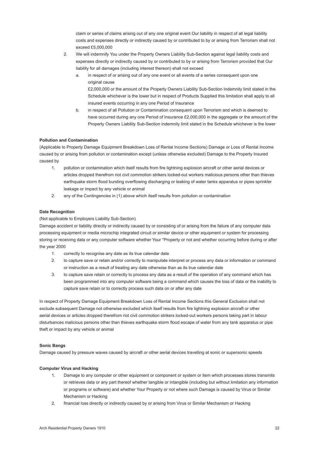claim or series of claims arising out of any one original event Our liability in respect of all legal liability costs and expenses directly or indirectly caused by or contributed to by or arising from Terrorism shall not exceed £5,000,000

- 2. We will indemnify You under the Property Owners Liability Sub-Section against legal liability costs and expenses directly or indirectly caused by or contributed to by or arising from Terrorism provided that Our liability for all damages (including interest thereon) shall not exceed
	- a. in respect of or arising out of any one event or all events of a series consequent upon one original cause £2,000,000 or the amount of the Property Owners Liability Sub-Section Indemnity limit stated in the
	- Schedule whichever is the lower but in respect of Products Supplied this limitation shall apply to all insured events occurring in any one Period of Insurance b. in respect of all Pollution or Contamination consequent upon Terrorism and which is deemed to
	- have occurred during any one Period of Insurance £2,000,000 in the aggregate or the amount of the Property Owners Liability Sub-Section indemnity limit stated in the Schedule whichever is the lower

#### **Pollution and Contamination**

(Applicable to Property Damage Equipment Breakdown Loss of Rental Income Sections) Damage or Loss of Rental Income caused by or arising from pollution or contamination except (unless otherwise excluded) Damage to the Property Insured caused by

- 1. pollution or contamination which itself results from fire lightning explosion aircraft or other aerial devices or articles dropped therefrom riot civil commotion strikers locked-out workers malicious persons other than thieves earthquake storm flood bursting overflowing discharging or leaking of water tanks apparatus or pipes sprinkler leakage or impact by any vehicle or animal
- 2. any of the Contingencies in (1) above which itself results from pollution or contamination

#### **Date Recognition**

#### (Not applicable to Employers Liability Sub-Section)

Damage accident or liability directly or indirectly caused by or consisting of or arising from the failure of any computer data processing equipment or media microchip integrated circuit or similar device or other equipment or system for processing storing or receiving data or any computer software whether Your \*Property or not and whether occurring before during or after the year 2000

- 1. correctly to recognise any date as its true calendar date
- 2. to capture save or retain and/or correctly to manipulate interpret or process any data or information or command or instruction as a result of treating any date otherwise than as its true calendar date
- 3. to capture save retain or correctly to process any data as a result of the operation of any command which has been programmed into any computer software being a command which causes the loss of data or the inability to capture save retain or to correctly process such data on or after any date

In respect of Property Damage Equipment Breakdown Loss of Rental Income Sections this General Exclusion shall not exclude subsequent Damage not otherwise excluded which itself results from fire lightning explosion aircraft or other aerial devices or articles dropped therefrom riot civil commotion strikers locked-out workers persons taking part in labour disturbances malicious persons other than thieves earthquake storm flood escape of water from any tank apparatus or pipe theft or impact by any vehicle or animal

#### **Sonic Bangs**

Damage caused by pressure waves caused by aircraft or other aerial devices travelling at sonic or supersonic speeds

#### **Computer Virus and Hacking**

- 1. Damage to any computer or other equipment or component or system or item which processes stores transmits or retrieves data or any part thereof whether tangible or intangible (including but without limitation any information or programs or software) and whether Your Property or not where such Damage is caused by Virus or Similar Mechanism or Hacking
- 2. financial loss directly or indirectly caused by or arising from Virus or Similar Mechanism or Hacking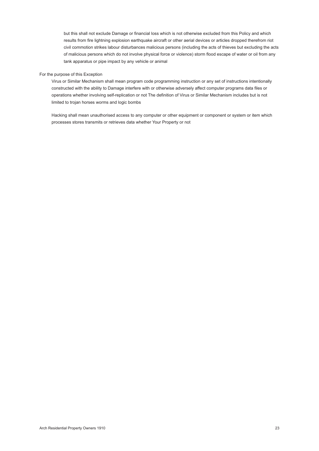<span id="page-23-0"></span> but this shall not exclude Damage or financial loss which is not otherwise excluded from this Policy and which results from fire lightning explosion earthquake aircraft or other aerial devices or articles dropped therefrom riot civil commotion strikes labour disturbances malicious persons (including the acts of thieves but excluding the acts of malicious persons which do not involve physical force or violence) storm flood escape of water or oil from any tank apparatus or pipe impact by any vehicle or animal

#### For the purpose of this Exception

 Virus or Similar Mechanism shall mean program code programming instruction or any set of instructions intentionally constructed with the ability to Damage interfere with or otherwise adversely affect computer programs data files or operations whether involving self-replication or not The definition of Virus or Similar Mechanism includes but is not limited to trojan horses worms and logic bombs

 Hacking shall mean unauthorised access to any computer or other equipment or component or system or item which processes stores transmits or retrieves data whether Your Property or not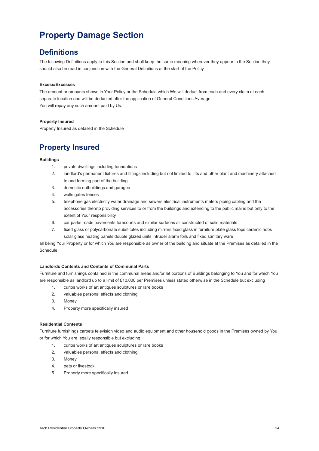### **Property Damage Section**

### **Definitions**

The following Definitions apply to this Section and shall keep the same meaning wherever they appear in the Section they should also be read in conjunction with the General Definitions at the start of the Policy

#### **Excess/Excesses**

The amount or amounts shown in Your Policy or the Schedule which We will deduct from each and every claim at each separate location and will be deducted after the application of General Conditions Average. You will repay any such amount paid by Us.

#### **Property Insured**

Property Insured as detailed in the Schedule

### **Property Insured**

#### **Buildings**

- 1. private dwellings including foundations
- 2. landlord's permanent fixtures and fittings including but not limited to lifts and other plant and machinery attached to and forming part of the building
- 3. domestic outbuildings and garages
- 4. walls gates fences
- 5. telephone gas electricity water drainage and sewers electrical instruments meters piping cabling and the accessories thereto providing services to or from the buildings and extending to the public mains but only to the extent of Your responsibility
- 6. car parks roads pavements forecourts and similar surfaces all constructed of solid materials
- 7. fixed glass or polycarbonate substitutes including mirrors fixed glass in furniture plate glass tops ceramic hobs solar glass heating panels double glazed units intruder alarm foils and fixed sanitary ware

all being Your Property or for which You are responsible as owner of the building and situate at the Premises as detailed in the Schedule

#### **Landlords Contents and Contents of Communal Parts**

Furniture and furnishings contained in the communal areas and/or let portions of Buildings belonging to You and for which You are responsible as landlord up to a limit of £10,000 per Premises unless stated otherwise in the Schedule but excluding

- 1. curios works of art antiques sculptures or rare books
- 2. valuables personal effects and clothing
- 3. Money
- 4. Property more specifically insured

#### **Residential Contents**

Furniture furnishings carpets television video and audio equipment and other household goods in the Premises owned by You or for which You are legally responsible but excluding

- 1. curios works of art antiques sculptures or rare books
- 2. valuables personal effects and clothing
- 3. Money
- 4. pets or livestock
- 5. Property more specifically insured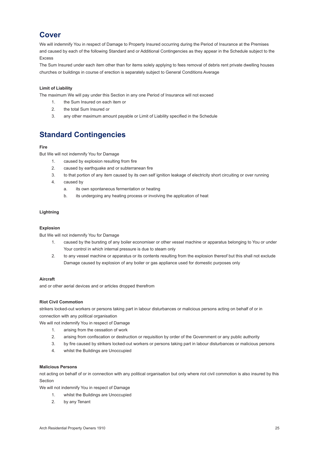### **Cover**

We will indemnify You in respect of Damage to Property Insured occurring during the Period of Insurance at the Premises and caused by each of the following Standard and or Additional Contingencies as they appear in the Schedule subject to the Excess

The Sum Insured under each item other than for items solely applying to fees removal of debris rent private dwelling houses churches or buildings in course of erection is separately subject to General Conditions Average

#### **Limit of Liability**

The maximum We will pay under this Section in any one Period of Insurance will not exceed

- 1. the Sum Insured on each item or
- 2. the total Sum Insured or
- 3. any other maximum amount payable or Limit of Liability specified in the Schedule

### **Standard Contingencies**

#### **Fire**

But We will not indemnify You for Damage

- 1. caused by explosion resulting from fire
- 2. caused by earthquake and or subterranean fire
- 3. to that portion of any item caused by its own self ignition leakage of electricity short circuiting or over running
- 4. caused by
	- a. its own spontaneous fermentation or heating
	- b. its undergoing any heating process or involving the application of heat

#### **Lightning**

#### **Explosion**

But We will not indemnify You for Damage

- 1. caused by the bursting of any boiler economiser or other vessel machine or apparatus belonging to You or under Your control in which internal pressure is due to steam only
- 2. to any vessel machine or apparatus or its contents resulting from the explosion thereof but this shall not exclude Damage caused by explosion of any boiler or gas appliance used for domestic purposes only

#### **Aircraft**

and or other aerial devices and or articles dropped therefrom

#### **Riot Civil Commotion**

strikers locked-out workers or persons taking part in labour disturbances or malicious persons acting on behalf of or in connection with any political organisation

We will not indemnify You in respect of Damage

- 1. arising from the cessation of work
- 2. arising from confiscation or destruction or requisition by order of the Government or any public authority
- 3. by fire caused by strikers locked-out workers or persons taking part in labour disturbances or malicious persons
- 4. whilst the Buildings are Unoccupied

#### **Malicious Persons**

not acting on behalf of or in connection with any political organisation but only where riot civil commotion is also insured by this Section

We will not indemnify You in respect of Damage

- 1. whilst the Buildings are Unoccupied
- 2. by any Tenant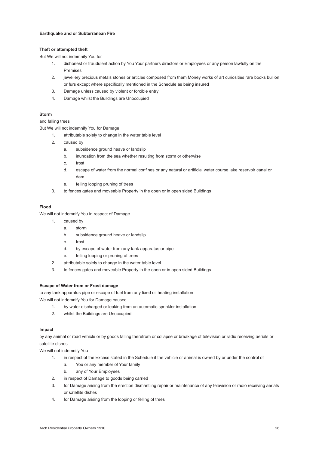#### **Earthquake and or Subterranean Fire**

#### **Theft or attempted theft**

But We will not indemnify You for

- 1. dishonest or fraudulent action by You Your partners directors or Employees or any person lawfully on the Premises
- 2. jewellery precious metals stones or articles composed from them Money works of art curiosities rare books bullion or furs except where specifically mentioned in the Schedule as being insured
- 3. Damage unless caused by violent or forcible entry
- 4. Damage whilst the Buildings are Unoccupied

#### **Storm**

#### and falling trees

But We will not indemnify You for Damage

- 1. attributable solely to change in the water table level
- 2. caused by
	- a. subsidence ground heave or landslip
	- b. inundation from the sea whether resulting from storm or otherwise
	- c. frost
	- d. escape of water from the normal confines or any natural or artificial water course lake reservoir canal or dam
	- e. felling lopping pruning of trees
- 3. to fences gates and moveable Property in the open or in open sided Buildings

#### **Flood**

We will not indemnify You in respect of Damage

- 1. caused by
	- a. storm
	- b. subsidence ground heave or landslip
	- c. frost
	- d. by escape of water from any tank apparatus or pipe
	- e. felling lopping or pruning of trees
- 2. attributable solely to change in the water table level
- 3. to fences gates and moveable Property in the open or in open sided Buildings

#### **Escape of Water from or Frost damage**

to any tank apparatus pipe or escape of fuel from any fixed oil heating installation We will not indemnify You for Damage caused

- 1. by water discharged or leaking from an automatic sprinkler installation
- 2. whilst the Buildings are Unoccupied

#### **Impact**

by any animal or road vehicle or by goods falling therefrom or collapse or breakage of television or radio receiving aerials or satellite dishes

We will not indemnify You

- 1. in respect of the Excess stated in the Schedule if the vehicle or animal is owned by or under the control of
	- a. You or any member of Your family
	- b. any of Your Employees
- 2. in respect of Damage to goods being carried
- 3. for Damage arising from the erection dismantling repair or maintenance of any television or radio receiving aerials or satellite dishes
- 4. for Damage arising from the lopping or felling of trees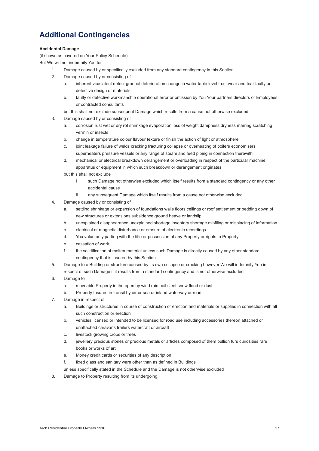### **Additional Contingencies**

#### **Accidental Damage**

(if shown as covered on Your Policy Schedule)

But We will not indemnify You for

- 1. Damage caused by or specifically excluded from any standard contingency in this Section
- 2. Damage caused by or consisting of
	- a. inherent vice latent defect gradual deterioration change in water table level frost wear and tear faulty or defective design or materials
	- b. faulty or defective workmanship operational error or omission by You Your partners directors or Employees or contracted consultants
	- but this shall not exclude subsequent Damage which results from a cause not otherwise excluded
- 3. Damage caused by or consisting of
	- a. corrosion rust wet or dry rot shrinkage evaporation loss of weight dampness dryness marring scratching vermin or insects
	- b. change in temperature colour flavour texture or finish the action of light or atmosphere
	- c. joint leakage failure of welds cracking fracturing collapse or overheating of boilers economisers superheaters pressure vessels or any range of steam and feed piping in connection therewith
	- d. mechanical or electrical breakdown derangement or overloading in respect of the particular machine apparatus or equipment in which such breakdown or derangement originates
	- but this shall not exclude
		- i such Damage not otherwise excluded which itself results from a standard contingency or any other accidental cause
		- any subsequent Damage which itself results from a cause not otherwise excluded
- 4. Damage caused by or consisting of
	- a. settling shrinkage or expansion of foundations walls floors ceilings or roof settlement or bedding down of new structures or extensions subsidence ground heave or landslip
	- b. unexplained disappearance unexplained shortage inventory shortage misfiling or misplacing of information
	- c. electrical or magnetic disturbance or erasure of electronic recordings
	- d. You voluntarily parting with the title or possession of any Property or rights to Property
	- e. cessation of work
	- f. the solidification of molten material unless such Damage is directly caused by any other standard contingency that is insured by this Section
- 5. Damage to a Building or structure caused by its own collapse or cracking however We will indemnify You in respect of such Damage if it results from a standard contingency and is not otherwise excluded
- 6. Damage to
	- a. moveable Property in the open by wind rain hail sleet snow flood or dust
	- b. Property Insured in transit by air or sea or inland waterway or road
- 7. Damage in respect of
	- a. Buildings or structures in course of construction or erection and materials or supplies in connection with all such construction or erection
	- b. vehicles licensed or intended to be licensed for road use including accessories thereon attached or unattached caravans trailers watercraft or aircraft
	- c. livestock growing crops or trees
	- d. jewellery precious stones or precious metals or articles composed of them bullion furs curiosities rare books or works of art
	- e. Money credit cards or securities of any description
	- f. fixed glass and sanitary ware other than as defined in Buildings
	- unless specifically stated in the Schedule and the Damage is not otherwise excluded
- 8. Damage to Property resulting from its undergoing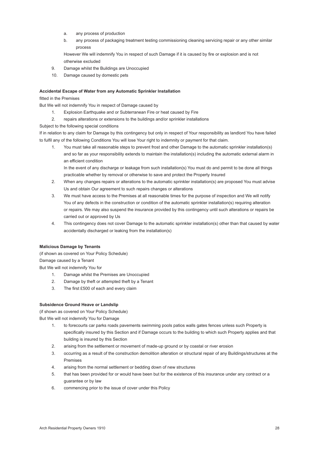- a. any process of production
- b. any process of packaging treatment testing commissioning cleaning servicing repair or any other similar process

 However We will indemnify You in respect of such Damage if it is caused by fire or explosion and is not otherwise excluded

- 9. Damage whilst the Buildings are Unoccupied
- 10. Damage caused by domestic pets

#### **Accidental Escape of Water from any Automatic Sprinkler Installation**

fitted in the Premises

But We will not indemnify You in respect of Damage caused by

- 1. Explosion Earthquake and or Subterranean Fire or heat caused by Fire
- 2. repairs alterations or extensions to the buildings and/or sprinkler installations

Subject to the following special conditions

If in relation to any claim for Damage by this contingency but only in respect of Your responsibility as landlord You have failed to fulfil any of the following Conditions You will lose Your right to indemnity or payment for that claim.

1. You must take all reasonable steps to prevent frost and other Damage to the automatic sprinkler installation(s) and so far as your responsibility extends to maintain the installation(s) including the automatic external alarm in an efficient condition

 In the event of any discharge or leakage from such installation(s) You must do and permit to be done all things practicable whether by removal or otherwise to save and protect the Property Insured

- 2. When any changes repairs or alterations to the automatic sprinkler installation(s) are proposed You must advise Us and obtain Our agreement to such repairs changes or alterations
- 3. We must have access to the Premises at all reasonable times for the purpose of inspection and We will notify You of any defects in the construction or condition of the automatic sprinkler installation(s) requiring alteration or repairs. We may also suspend the insurance provided by this contingency until such alterations or repairs be carried out or approved by Us
- 4. This contingency does not cover Damage to the automatic sprinkler installation(s) other than that caused by water accidentally discharged or leaking from the installation(s)

#### **Malicious Damage by Tenants**

(if shown as covered on Your Policy Schedule) Damage caused by a Tenant But We will not indemnify You for

- 1. Damage whilst the Premises are Unoccupied
- 2. Damage by theft or attempted theft by a Tenant
- 3. The first £500 of each and every claim

#### **Subsidence Ground Heave or Landslip**

(if shown as covered on Your Policy Schedule) But We will not indemnify You for Damage

- 1. to forecourts car parks roads pavements swimming pools patios walls gates fences unless such Property is specifically insured by this Section and if Damage occurs to the building to which such Property applies and that building is insured by this Section
- 2. arising from the settlement or movement of made-up ground or by coastal or river erosion
- 3. occurring as a result of the construction demolition alteration or structural repair of any Buildings/structures at the Premises
- 4. arising from the normal settlement or bedding down of new structures
- 5. that has been provided for or would have been but for the existence of this insurance under any contract or a guarantee or by law
- 6. commencing prior to the issue of cover under this Policy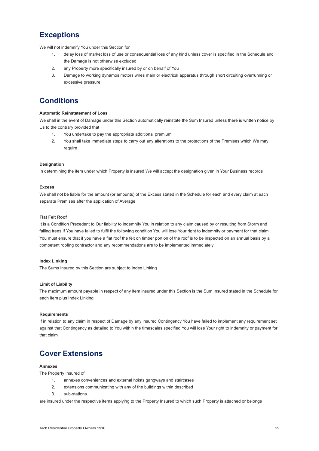### **Exceptions**

We will not indemnify You under this Section for

- 1. delay loss of market loss of use or consequential loss of any kind unless cover is specified in the Schedule and the Damage is not otherwise excluded
- 2. any Property more specifically insured by or on behalf of You
- 3. Damage to working dynamos motors wires main or electrical apparatus through short circuiting overrunning or excessive pressure

### **Conditions**

#### **Automatic Reinstatement of Loss**

We shall in the event of Damage under this Section automatically reinstate the Sum Insured unless there is written notice by Us to the contrary provided that

- 1. You undertake to pay the appropriate additional premium
- 2. You shall take immediate steps to carry out any alterations to the protections of the Premises which We may require

#### **Designation**

In determining the item under which Property is insured We will accept the designation given in Your Business records

#### **Excess**

We shall not be liable for the amount (or amounts) of the Excess stated in the Schedule for each and every claim at each separate Premises after the application of Average

#### **Flat Felt Roof**

It is a Condition Precedent to Our liability to indemnify You in relation to any claim caused by or resulting from Storm and falling trees If You have failed to fulfil the following condition You will lose Your right to indemnity or payment for that claim You must ensure that if you have a flat roof the felt on timber portion of the roof is to be inspected on an annual basis by a competent roofing contractor and any recommendations are to be implemented immediately

#### **Index Linking**

The Sums Insured by this Section are subject to Index Linking

#### **Limit of Liability**

The maximum amount payable in respect of any item insured under this Section is the Sum Insured stated in the Schedule for each item plus Index Linking

#### **Requirements**

If in relation to any claim in respect of Damage by any insured Contingency You have failed to implement any requirement set against that Contingency as detailed to You within the timescales specified You will lose Your right to indemnity or payment for that claim

### **Cover Extensions**

#### **Annexes**

The Property Insured of

- 1. annexes conveniences and external hoists gangways and staircases
- 2. extensions communicating with any of the buildings within described
- 3. sub-stations

are insured under the respective items applying to the Property Insured to which such Property is attached or belongs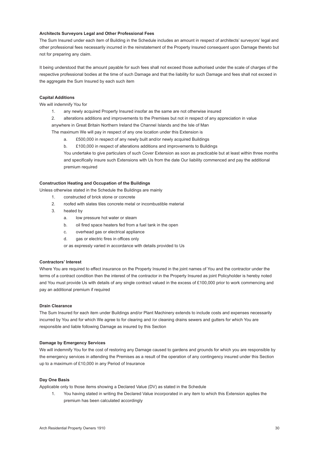#### **Architects Surveyors Legal and Other Professional Fees**

The Sum Insured under each item of Building in the Schedule includes an amount in respect of architects' surveyors' legal and other professional fees necessarily incurred in the reinstatement of the Property Insured consequent upon Damage thereto but not for preparing any claim.

It being understood that the amount payable for such fees shall not exceed those authorised under the scale of charges of the respective professional bodies at the time of such Damage and that the liability for such Damage and fees shall not exceed in the aggregate the Sum Insured by each such item

#### **Capital Additions**

We will indemnify You for

- 1. any newly acquired Property Insured insofar as the same are not otherwise insured
- 2. alterations additions and improvements to the Premises but not in respect of any appreciation in value

 anywhere in Great Britain Northern Ireland the Channel Islands and the Isle of Man

The maximum We will pay in respect of any one location under this Extension is

- a. £500,000 in respect of any newly built and/or newly acquired Buildings
- b. £100,000 in respect of alterations additions and improvements to Buildings

 You undertake to give particulars of such Cover Extension as soon as practicable but at least within three months and specifically insure such Extensions with Us from the date Our liability commenced and pay the additional premium required

#### **Construction Heating and Occupation of the Buildings**

Unless otherwise stated in the Schedule the Buildings are mainly

- 1. constructed of brick stone or concrete
- 2. roofed with slates tiles concrete metal or incombustible material
- 3. heated by
	- a. low pressure hot water or steam
	- b. oil fired space heaters fed from a fuel tank in the open
	- c. overhead gas or electrical appliance
	- d. gas or electric fires in offices only

or as expressly varied in accordance with details provided to Us

#### **Contractors' Interest**

Where You are required to effect insurance on the Property Insured in the joint names of You and the contractor under the terms of a contract condition then the interest of the contractor in the Property Insured as joint Policyholder is hereby noted and You must provide Us with details of any single contract valued in the excess of £100,000 prior to work commencing and pay an additional premium if required

#### **Drain Clearance**

The Sum Insured for each item under Buildings and/or Plant Machinery extends to include costs and expenses necessarily incurred by You and for which We agree to for clearing and /or cleaning drains sewers and gutters for which You are responsible and liable following Damage as insured by this Section

#### **Damage by Emergency Services**

We will indemnify You for the cost of restoring any Damage caused to gardens and grounds for which you are responsible by the emergency services in attending the Premises as a result of the operation of any contingency insured under this Section up to a maximum of £10,000 in any Period of Insurance

#### **Day One Basis**

Applicable only to those items showing a Declared Value (DV) as stated in the Schedule

1. You having stated in writing the Declared Value incorporated in any item to which this Extension applies the premium has been calculated accordingly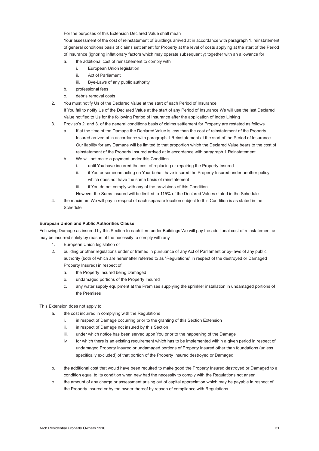For the purposes of this Extension Declared Value shall mean

 Your assessment of the cost of reinstatement of Buildings arrived at in accordance with paragraph 1. reinstatement of general conditions basis of claims settlement for Property at the level of costs applying at the start of the Period of Insurance (ignoring inflationary factors which may operate subsequently) together with an allowance for

- a. the additional cost of reinstatement to comply with
	- i. European Union legislation
	- ii. Act of Parliament
	- iii. Bye-Laws of any public authority
- b. professional fees
- c. debris removal costs
- 2. You must notify Us of the Declared Value at the start of each Period of Insurance If You fail to notify Us of the Declared Value at the start of any Period of Insurance We will use the last Declared

Value notified to Us for the following Period of Insurance after the application of Index Linking

- 3. Proviso's 2. and 3. of the general conditions basis of claims settlement for Property are restated as follows
	- a. If at the time of the Damage the Declared Value is less than the cost of reinstatement of the Property Insured arrived at in accordance with paragraph 1.Reinstatement at the start of the Period of Insurance Our liability for any Damage will be limited to that proportion which the Declared Value bears to the cost of reinstatement of the Property Insured arrived at in accordance with paragraph 1.Reinstatement
	- b. We will not make a payment under this Condition
		- i. until You have incurred the cost of replacing or repairing the Property Insured
		- ii. if You or someone acting on Your behalf have insured the Property Insured under another policy which does not have the same basis of reinstatement
		- iii. if You do not comply with any of the provisions of this Condition
		- However the Sums Insured will be limited to 115% of the Declared Values stated in the Schedule
- 4. the maximum We will pay in respect of each separate location subject to this Condition is as stated in the Schedule

#### **European Union and Public Authorities Clause**

Following Damage as insured by this Section to each item under Buildings We will pay the additional cost of reinstatement as may be incurred solely by reason of the necessity to comply with any

- 1. European Union legislation or
- 2. building or other regulations under or framed in pursuance of any Act of Parliament or by-laws of any public authority (both of which are hereinafter referred to as "Regulations" in respect of the destroyed or Damaged Property Insured) in respect of
	- a. the Property Insured being Damaged
	- b. undamaged portions of the Property Insured
	- c. any water supply equipment at the Premises supplying the sprinkler installation in undamaged portions of the Premises

This Extension does not apply to

- a. the cost incurred in complying with the Regulations
	- i. in respect of Damage occurring prior to the granting of this Section Extension
	- ii. in respect of Damage not insured by this Section
	- iii. under which notice has been served upon You prior to the happening of the Damage
	- iv. for which there is an existing requirement which has to be implemented within a given period in respect of undamaged Property Insured or undamaged portions of Property Insured other than foundations (unless specifically excluded) of that portion of the Property Insured destroyed or Damaged
- b. the additional cost that would have been required to make good the Property Insured destroyed or Damaged to a condition equal to its condition when new had the necessity to comply with the Regulations not arisen
- c. the amount of any charge or assessment arising out of capital appreciation which may be payable in respect of the Property Insured or by the owner thereof by reason of compliance with Regulations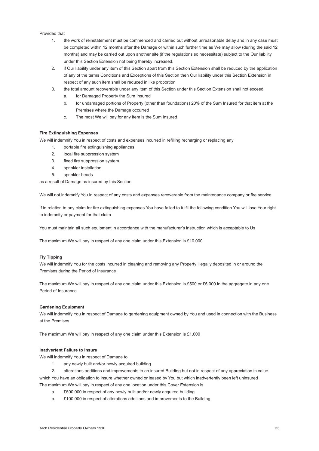#### Provided that

- 1. the work of reinstatement must be commenced and carried out without unreasonable delay and in any case must be completed within 12 months after the Damage or within such further time as We may allow (during the said 12 months) and may be carried out upon another site (if the regulations so necessitate) subject to the Our liability under this Section Extension not being thereby increased.
- 2. if Our liability under any item of this Section apart from this Section Extension shall be reduced by the application of any of the terms Conditions and Exceptions of this Section then Our liability under this Section Extension in respect of any such item shall be reduced in like proportion
- 3. the total amount recoverable under any item of this Section under this Section Extension shall not exceed
	- a. for Damaged Property the Sum Insured
	- b. for undamaged portions of Property (other than foundations) 20% of the Sum Insured for that item at the Premises where the Damage occurred
	- c. The most We will pay for any item is the Sum Insured

#### **Fire Extinguishing Expenses**

We will indemnify You in respect of costs and expenses incurred in refilling recharging or replacing any

- 1. portable fire extinguishing appliances
- 2. **local fire suppression system**
- 3. fixed fire suppression system
- 4. sprinkler installation
- 5. sprinkler heads

as a result of Damage as insured by this Section

We will not indemnify You in respect of any costs and expenses recoverable from the maintenance company or fire service

If in relation to any claim for fire extinguishing expenses You have failed to fulfil the following condition You will lose Your right to indemnity or payment for that claim

You must maintain all such equipment in accordance with the manufacturer's instruction which is acceptable to Us

The maximum We will pay in respect of any one claim under this Extension is £10,000

#### **Fly Tipping**

We will indemnify You for the costs incurred in cleaning and removing any Property illegally deposited in or around the Premises during the Period of Insurance

The maximum We will pay in respect of any one claim under this Extension is £500 or £5,000 in the aggregate in any one Period of Insurance

#### **Gardening Equipment**

We will indemnify You in respect of Damage to gardening equipment owned by You and used in connection with the Business at the Premises

The maximum We will pay in respect of any one claim under this Extension is £1,000

#### **Inadvertent Failure to Insure**

We will indemnify You in respect of Damage to

- 1. any newly built and/or newly acquired building
- 2. alterations additions and improvements to an insured Building but not in respect of any appreciation in value

which You have an obligation to insure whether owned or leased by You but which inadvertently been left uninsured The maximum We will pay in respect of any one location under this Cover Extension is

- a. £500,000 in respect of any newly built and/or newly acquired building
- b. £100,000 in respect of alterations additions and improvements to the Building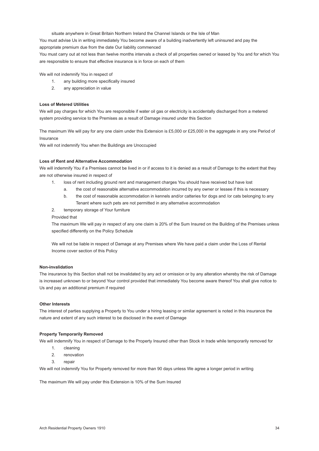situate anywhere in Great Britain Northern Ireland the Channel Islands or the Isle of Man

You must advise Us in writing immediately You become aware of a building inadvertently left uninsured and pay the appropriate premium due from the date Our liability commenced

You must carry out at not less than twelve months intervals a check of all properties owned or leased by You and for which You are responsible to ensure that effective insurance is in force on each of them

We will not indemnify You in respect of

- 1. any building more specifically insured
- 2. any appreciation in value

#### **Loss of Metered Utilities**

We will pay charges for which You are responsible if water oil gas or electricity is accidentally discharged from a metered system providing service to the Premises as a result of Damage insured under this Section

The maximum We will pay for any one claim under this Extension is £5,000 or £25,000 in the aggregate in any one Period of Insurance

We will not indemnify You when the Buildings are Unoccupied

#### **Loss of Rent and Alternative Accommodation**

We will indemnify You if a Premises cannot be lived in or if access to it is denied as a result of Damage to the extent that they are not otherwise insured in respect of

- 1. loss of rent including ground rent and management charges You should have received but have lost
	- a. the cost of reasonable alternative accommodation incurred by any owner or lessee if this is necessary
	- b. the cost of reasonable accommodation in kennels and/or catteries for dogs and /or cats belonging to any Tenant where such pets are not permitted in any alternative accommodation
- 2. temporary storage of Your furniture

Provided that

 The maximum We will pay in respect of any one claim is 20% of the Sum Insured on the Building of the Premises unless specified differently on the Policy Schedule

 We will not be liable in respect of Damage at any Premises where We have paid a claim under the Loss of Rental Income cover section of this Policy

#### **Non-invalidation**

The insurance by this Section shall not be invalidated by any act or omission or by any alteration whereby the risk of Damage is increased unknown to or beyond Your control provided that immediately You become aware thereof You shall give notice to Us and pay an additional premium if required

#### **Other Interests**

The interest of parties supplying a Property to You under a hiring leasing or similar agreement is noted in this insurance the nature and extent of any such interest to be disclosed in the event of Damage

#### **Property Temporarily Removed**

We will indemnify You in respect of Damage to the Property Insured other than Stock in trade while temporarily removed for

- 1. cleaning
- 2. renovation
- 3. repair

We will not indemnify You for Property removed for more than 90 days unless We agree a longer period in writing

The maximum We will pay under this Extension is 10% of the Sum Insured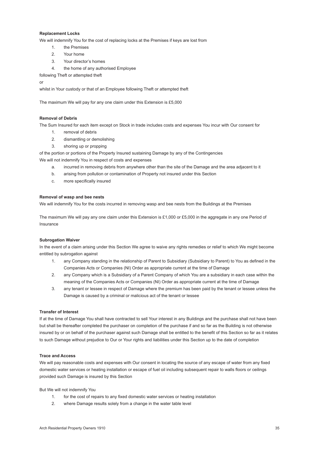#### <span id="page-35-0"></span>**Replacement Locks**

We will indemnify You for the cost of replacing locks at the Premises if keys are lost from

- 1. the Premises
- 2. Your home
- 3. Your director's homes
- 4. the home of any authorised Employee

following Theft or attempted theft

or

whilst in Your custody or that of an Employee following Theft or attempted theft

The maximum We will pay for any one claim under this Extension is £5,000

#### **Removal of Debris**

The Sum Insured for each item except on Stock in trade includes costs and expenses You incur with Our consent for

- 1. removal of debris
- 2. dismantling or demolishing
- 3. shoring up or propping

of the portion or portions of the Property Insured sustaining Damage by any of the Contingencies We will not indemnify You in respect of costs and expenses

- a. incurred in removing debris from anywhere other than the site of the Damage and the area adjacent to it
- b. arising from pollution or contamination of Property not insured under this Section
- c. more specifically insured

#### **Removal of wasp and bee nests**

We will indemnify You for the costs incurred in removing wasp and bee nests from the Buildings at the Premises

The maximum We will pay any one claim under this Extension is £1,000 or £5,000 in the aggregate in any one Period of Insurance

#### **Subrogation Waiver**

In the event of a claim arising under this Section We agree to waive any rights remedies or relief to which We might become entitled by subrogation against

- 1. any Company standing in the relationship of Parent to Subsidiary (Subsidiary to Parent) to You as defined in the Companies Acts or Companies (NI) Order as appropriate current at the time of Damage
- 2. any Company which is a Subsidiary of a Parent Company of which You are a subsidiary in each case within the meaning of the Companies Acts or Companies (NI) Order as appropriate current at the time of Damage
- 3. any tenant or lessee in respect of Damage where the premium has been paid by the tenant or lessee unless the Damage is caused by a criminal or malicious act of the tenant or lessee

#### **Transfer of Interest**

If at the time of Damage You shall have contracted to sell Your interest in any Buildings and the purchase shall not have been but shall be thereafter completed the purchaser on completion of the purchase if and so far as the Building is not otherwise insured by or on behalf of the purchaser against such Damage shall be entitled to the benefit of this Section so far as it relates to such Damage without prejudice to Our or Your rights and liabilities under this Section up to the date of completion

#### **Trace and Access**

We will pay reasonable costs and expenses with Our consent in locating the source of any escape of water from any fixed domestic water services or heating installation or escape of fuel oil including subsequent repair to walls floors or ceilings provided such Damage is insured by this Section

But We will not indemnify You

- 1. for the cost of repairs to any fixed domestic water services or heating installation
- 2. where Damage results solely from a change in the water table level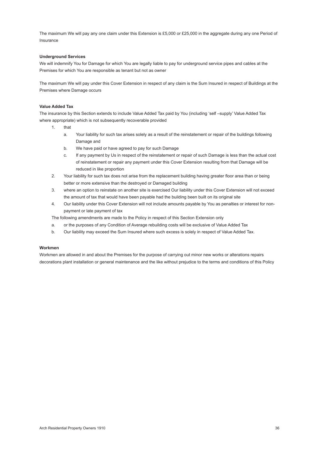The maximum We will pay any one claim under this Extension is £5,000 or £25,000 in the aggregate during any one Period of Insurance

#### **Underground Services**

We will indemnify You for Damage for which You are legally liable to pay for underground service pipes and cables at the Premises for which You are responsible as tenant but not as owner

The maximum We will pay under this Cover Extension in respect of any claim is the Sum Insured in respect of Buildings at the Premises where Damage occurs

#### **Value Added Tax**

The insurance by this Section extends to include Value Added Tax paid by You (including 'self –supply' Value Added Tax where appropriate) which is not subsequently recoverable provided

- 1. that
	- a. Your liability for such tax arises solely as a result of the reinstatement or repair of the buildings following Damage and
	- b. We have paid or have agreed to pay for such Damage
	- c. If any payment by Us in respect of the reinstatement or repair of such Damage is less than the actual cost of reinstatement or repair any payment under this Cover Extension resulting from that Damage will be reduced in like proportion
- 2. Your liability for such tax does not arise from the replacement building having greater floor area than or being better or more extensive than the destroyed or Damaged building
- 3. where an option to reinstate on another site is exercised Our liability under this Cover Extension will not exceed the amount of tax that would have been payable had the building been built on its original site
- 4. Our liability under this Cover Extension will not include amounts payable by You as penalties or interest for nonpayment or late payment of tax

The following amendments are made to the Policy in respect of this Section Extension only

- a. or the purposes of any Condition of Average rebuilding costs will be exclusive of Value Added Tax
- b. Our liability may exceed the Sum Insured where such excess is solely in respect of Value Added Tax.

#### **Workmen**

Workmen are allowed in and about the Premises for the purpose of carrying out minor new works or alterations repairs decorations plant installation or general maintenance and the like without prejudice to the terms and conditions of this Policy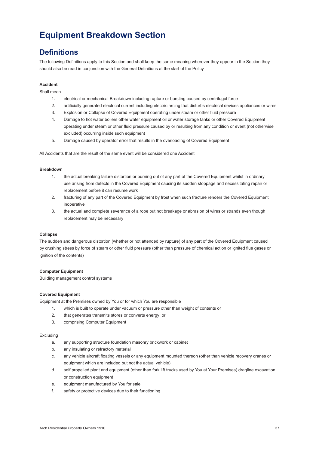## **Equipment Breakdown Section**

### **Definitions**

The following Definitions apply to this Section and shall keep the same meaning wherever they appear in the Section they should also be read in conjunction with the General Definitions at the start of the Policy

#### **Accident**

Shall mean

- 1. electrical or mechanical Breakdown including rupture or bursting caused by centrifugal force
- 2. artificially generated electrical current including electric arcing that disturbs electrical devices appliances or wires
- 3. Explosion or Collapse of Covered Equipment operating under steam or other fluid pressure
- 4. Damage to hot water boilers other water equipment oil or water storage tanks or other Covered Equipment operating under steam or other fluid pressure caused by or resulting from any condition or event (not otherwise excluded) occurring inside such equipment
- 5. Damage caused by operator error that results in the overloading of Covered Equipment

All Accidents that are the result of the same event will be considered one Accident

#### **Breakdown**

- 1. the actual breaking failure distortion or burning out of any part of the Covered Equipment whilst in ordinary use arising from defects in the Covered Equipment causing its sudden stoppage and necessitating repair or replacement before it can resume work
- 2. fracturing of any part of the Covered Equipment by frost when such fracture renders the Covered Equipment inoperative
- 3. the actual and complete severance of a rope but not breakage or abrasion of wires or strands even though replacement may be necessary

#### **Collapse**

The sudden and dangerous distortion (whether or not attended by rupture) of any part of the Covered Equipment caused by crushing stress by force of steam or other fluid pressure (other than pressure of chemical action or ignited flue gases or ignition of the contents)

#### **Computer Equipment**

Building management control systems

#### **Covered Equipment**

Equipment at the Premises owned by You or for which You are responsible

- 1. which is built to operate under vacuum or pressure other than weight of contents or
- 2. that generates transmits stores or converts energy; or
- 3. comprising Computer Equipment

#### Excluding

- a. any supporting structure foundation masonry brickwork or cabinet
- b. any insulating or refractory material
- c. any vehicle aircraft floating vessels or any equipment mounted thereon (other than vehicle recovery cranes or equipment which are included but not the actual vehicle)
- d. self propelled plant and equipment (other than fork lift trucks used by You at Your Premises) dragline excavation or construction equipment
- e. equipment manufactured by You for sale
- f. safety or protective devices due to their functioning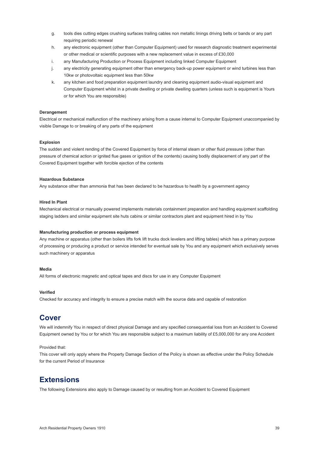- g. tools dies cutting edges crushing surfaces trailing cables non metallic linings driving belts or bands or any part requiring periodic renewal
- h. any electronic equipment (other than Computer Equipment) used for research diagnostic treatment experimental or other medical or scientific purposes with a new replacement value in excess of £30,000
- i. any Manufacturing Production or Process Equipment including linked Computer Equipment
- j. any electricity generating equipment other than emergency back-up power equipment or wind turbines less than 10kw or photovoltaic equipment less than 50kw
- k. any kitchen and food preparation equipment laundry and cleaning equipment audio-visual equipment and Computer Equipment whilst in a private dwelling or private dwelling quarters (unless such is equipment is Yours or for which You are responsible)

#### **Derangement**

Electrical or mechanical malfunction of the machinery arising from a cause internal to Computer Equipment unaccompanied by visible Damage to or breaking of any parts of the equipment

#### **Explosion**

The sudden and violent rending of the Covered Equipment by force of internal steam or other fluid pressure (other than pressure of chemical action or ignited flue gases or ignition of the contents) causing bodily displacement of any part of the Covered Equipment together with forcible ejection of the contents

#### **Hazardous Substance**

Any substance other than ammonia that has been declared to be hazardous to health by a government agency

#### **Hired In Plant**

Mechanical electrical or manually powered implements materials containment preparation and handling equipment scaffolding staging ladders and similar equipment site huts cabins or similar contractors plant and equipment hired in by You

#### **Manufacturing production or process equipment**

Any machine or apparatus (other than boilers lifts fork lift trucks dock levelers and lifting tables) which has a primary purpose of processing or producing a product or service intended for eventual sale by You and any equipment which exclusively serves such machinery or apparatus

#### **Media**

All forms of electronic magnetic and optical tapes and discs for use in any Computer Equipment

#### **Verified**

Checked for accuracy and integrity to ensure a precise match with the source data and capable of restoration

### **Cover**

We will indemnify You in respect of direct physical Damage and any specified consequential loss from an Accident to Covered Equipment owned by You or for which You are responsible subject to a maximum liability of £5,000,000 for any one Accident

#### Provided that:

This cover will only apply where the Property Damage Section of the Policy is shown as effective under the Policy Schedule for the current Period of Insurance

### **Extensions**

The following Extensions also apply to Damage caused by or resulting from an Accident to Covered Equipment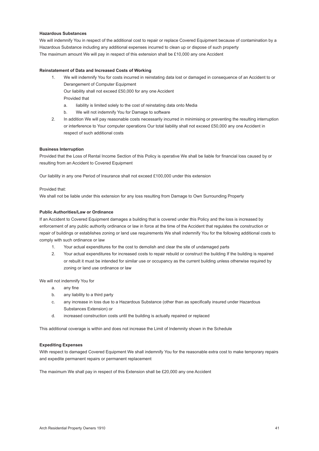#### <span id="page-41-0"></span>**Hazardous Substances**

We will indemnify You in respect of the additional cost to repair or replace Covered Equipment because of contamination by a Hazardous Substance including any additional expenses incurred to clean up or dispose of such property The maximum amount We will pay in respect of this extension shall be £10,000 any one Accident

#### **Reinstatement of Data and Increased Costs of Working**

- 1. We will indemnify You for costs incurred in reinstating data lost or damaged in consequence of an Accident to or Derangement of Computer Equipment Our liability shall not exceed £50,000 for any one Accident Provided that
	- a. liability is limited solely to the cost of reinstating data onto Media
	- b. We will not indemnify You for Damage to software
- 2. In addition We will pay reasonable costs necessarily incurred in minimising or preventing the resulting interruption or interference to Your computer operations Our total liability shall not exceed £50,000 any one Accident in respect of such additional costs

#### **Business Interruption**

Provided that the Loss of Rental Income Section of this Policy is operative We shall be liable for financial loss caused by or resulting from an Accident to Covered Equipment

Our liability in any one Period of Insurance shall not exceed £100,000 under this extension

#### Provided that:

We shall not be liable under this extension for any loss resulting from Damage to Own Surrounding Property

#### **Public Authorities/Law or Ordinance**

If an Accident to Covered Equipment damages a building that is covered under this Policy and the loss is increased by enforcement of any public authority ordinance or law in force at the time of the Accident that regulates the construction or repair of buildings or establishes zoning or land use requirements We shall indemnify You for the following additional costs to comply with such ordinance or law

- 1. Your actual expenditures for the cost to demolish and clear the site of undamaged parts
- 2. Your actual expenditures for increased costs to repair rebuild or construct the building If the building is repaired or rebuilt it must be intended for similar use or occupancy as the current building unless otherwise required by zoning or land use ordinance or law

We will not indemnify You for

- a. any fine
- b. any liability to a third party
- c. any increase in loss due to a Hazardous Substance (other than as specifically insured under Hazardous Substances Extension) or
- d. increased construction costs until the building is actually repaired or replaced

This additional coverage is within and does not increase the Limit of Indemnity shown in the Schedule

#### **Expediting Expenses**

With respect to damaged Covered Equipment We shall indemnify You for the reasonable extra cost to make temporary repairs and expedite permanent repairs or permanent replacement

The maximum We shall pay in respect of this Extension shall be £20,000 any one Accident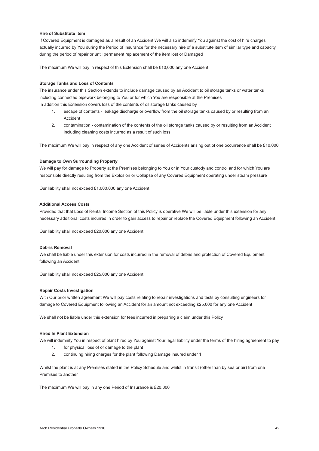#### **Hire of Substitute Item**

If Covered Equipment is damaged as a result of an Accident We will also indemnify You against the cost of hire charges actually incurred by You during the Period of Insurance for the necessary hire of a substitute item of similar type and capacity during the period of repair or until permanent replacement of the item lost or Damaged

The maximum We will pay in respect of this Extension shall be £10,000 any one Accident

#### **Storage Tanks and Loss of Contents**

The insurance under this Section extends to include damage caused by an Accident to oil storage tanks or water tanks including connected pipework belonging to You or for which You are responsible at the Premises In addition this Extension covers loss of the contents of oil storage tanks caused by

- 1. escape of contents leakage discharge or overflow from the oil storage tanks caused by or resulting from an Accident
- 2. contamination contamination of the contents of the oil storage tanks caused by or resulting from an Accident including cleaning costs incurred as a result of such loss

The maximum We will pay in respect of any one Accident of series of Accidents arising out of one occurrence shall be £10,000

#### **Damage to Own Surrounding Property**

We will pay for damage to Property at the Premises belonging to You or in Your custody and control and for which You are responsible directly resulting from the Explosion or Collapse of any Covered Equipment operating under steam pressure

Our liability shall not exceed £1,000,000 any one Accident

#### **Additional Access Costs**

Provided that that Loss of Rental Income Section of this Policy is operative We will be liable under this extension for any necessary additional costs incurred in order to gain access to repair or replace the Covered Equipment following an Accident

Our liability shall not exceed £20,000 any one Accident

#### **Debris Removal**

We shall be liable under this extension for costs incurred in the removal of debris and protection of Covered Equipment following an Accident

Our liability shall not exceed £25,000 any one Accident

#### **Repair Costs Investigation**

With Our prior written agreement We will pay costs relating to repair investigations and tests by consulting engineers for damage to Covered Equipment following an Accident for an amount not exceeding £25,000 for any one Accident

We shall not be liable under this extension for fees incurred in preparing a claim under this Policy

#### **Hired In Plant Extension**

We will indemnify You in respect of plant hired by You against Your legal liability under the terms of the hiring agreement to pay

- 1. for physical loss of or damage to the plant
- 2. continuing hiring charges for the plant following Damage insured under 1.

Whilst the plant is at any Premises stated in the Policy Schedule and whilst in transit (other than by sea or air) from one Premises to another

The maximum We will pay in any one Period of Insurance is £20,000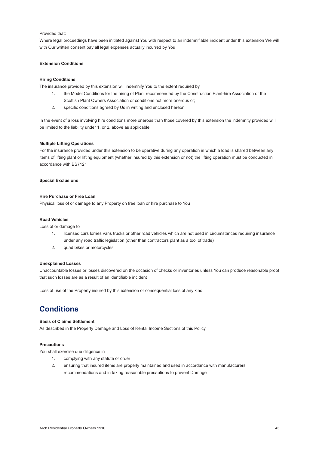#### Provided that:

Where legal proceedings have been initiated against You with respect to an indemnifiable incident under this extension We will with Our written consent pay all legal expenses actually incurred by You

#### **Extension Conditions**

#### **Hiring Conditions**

The insurance provided by this extension will indemnify You to the extent required by

- 1. the Model Conditions for the hiring of Plant recommended by the Construction Plant-hire Association or the Scottish Plant Owners Association or conditions not more onerous or;
- 2. specific conditions agreed by Us in writing and enclosed hereon

In the event of a loss involving hire conditions more onerous than those covered by this extension the indemnity provided will be limited to the liability under 1. or 2. above as applicable

#### **Multiple Lifting Operations**

For the insurance provided under this extension to be operative during any operation in which a load is shared between any items of lifting plant or lifting equipment (whether insured by this extension or not) the lifting operation must be conducted in accordance with BS7121

#### **Special Exclusions**

#### **Hire Purchase or Free Loan**

Physical loss of or damage to any Property on free loan or hire purchase to You

#### **Road Vehicles**

Loss of or damage to

- 1. licensed cars lorries vans trucks or other road vehicles which are not used in circumstances requiring insurance under any road traffic legislation (other than contractors plant as a tool of trade)
- 2. quad bikes or motorcycles

#### **Unexplained Losses**

Unaccountable losses or losses discovered on the occasion of checks or inventories unless You can produce reasonable proof that such losses are as a result of an identifiable incident

Loss of use of the Property insured by this extension or consequential loss of any kind

### **Conditions**

#### **Basis of Claims Settlement**

As described in the Property Damage and Loss of Rental Income Sections of this Policy

#### **Precautions**

You shall exercise due diligence in

- 1. complying with any statute or order
- 2. ensuring that insured items are properly maintained and used in accordance with manufacturers recommendations and in taking reasonable precautions to prevent Damage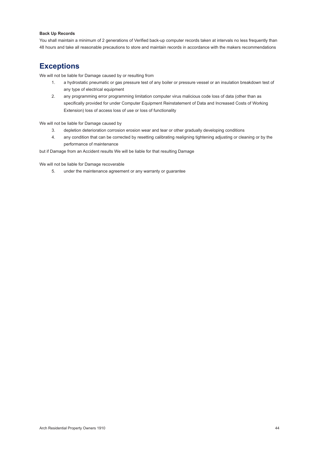#### **Back Up Records**

You shall maintain a minimum of 2 generations of Verified back-up computer records taken at intervals no less frequently than 48 hours and take all reasonable precautions to store and maintain records in accordance with the makers recommendations

### **Exceptions**

We will not be liable for Damage caused by or resulting from

- 1. a hydrostatic pneumatic or gas pressure test of any boiler or pressure vessel or an insulation breakdown test of any type of electrical equipment
- 2. any programming error programming limitation computer virus malicious code loss of data (other than as specifically provided for under Computer Equipment Reinstatement of Data and Increased Costs of Working Extension) loss of access loss of use or loss of functionality

We will not be liable for Damage caused by

- 3. depletion deterioration corrosion erosion wear and tear or other gradually developing conditions
- 4. any condition that can be corrected by resetting calibrating realigning tightening adjusting or cleaning or by the performance of maintenance

but if Damage from an Accident results We will be liable for that resulting Damage

We will not be liable for Damage recoverable

5. under the maintenance agreement or any warranty or guarantee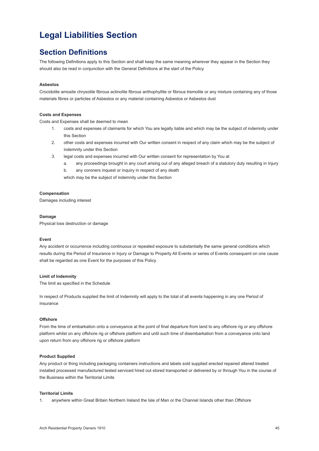### **Legal Liabilities Section**

### **Section Definitions**

The following Definitions apply to this Section and shall keep the same meaning wherever they appear in the Section they should also be read in conjunction with the General Definitions at the start of the Policy

#### **Asbestos**

Crocidolite amosite chrysotile fibrous actinolite fibrous anthophyllite or fibrous tremolite or any mixture containing any of those materials fibres or particles of Asbestos or any material containing Asbestos or Asbestos dust

#### **Costs and Expenses**

Costs and Expenses shall be deemed to mean

- 1. costs and expenses of claimants for which You are legally liable and which may be the subject of indemnity under this Section
- 2. other costs and expenses incurred with Our written consent in respect of any claim which may be the subject of indemnity under this Section
- 3. legal costs and expenses incurred with Our written consent for representation by You at
	- a. any proceedings brought in any court arising out of any alleged breach of a statutory duty resulting in Injury b. any coroners inquest or inquiry in respect of any death

which may be the subject of indemnity under this Section

#### **Compensation**

Damages including interest

#### **Damage**

Physical loss destruction or damage

#### **Event**

Any accident or occurrence including continuous or repeated exposure to substantially the same general conditions which results during the Period of Insurance in Injury or Damage to Property All Events or series of Events consequent on one cause shall be regarded as one Event for the purposes of this Policy

#### **Limit of Indemnity**

The limit as specified in the Schedule

In respect of Products supplied the limit of Indemnity will apply to the total of all events happening in any one Period of Insurance

#### **Offshore**

From the time of embarkation onto a conveyance at the point of final departure from land to any offshore rig or any offshore platform whilst on any offshore rig or offshore platform and until such time of disembarkation from a conveyance onto land upon return from any offshore rig or offshore platform

#### **Product Supplied**

Any product or thing including packaging containers instructions and labels sold supplied erected repaired altered treated installed processed manufactured tested serviced hired out stored transported or delivered by or through You in the course of the Business within the Territorial Limits

#### **Territorial Limits**

1. anywhere within Great Britain Northern Ireland the Isle of Man or the Channel Islands other than Offshore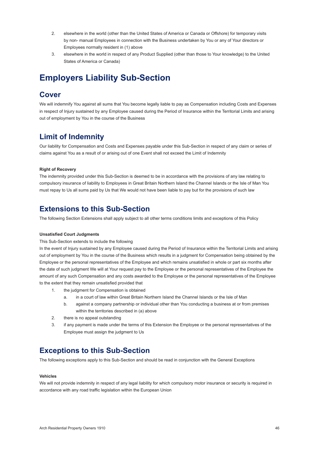- 2. elsewhere in the world (other than the United States of America or Canada or Offshore) for temporary visits by non- manual Employees in connection with the Business undertaken by You or any of Your directors or Employees normally resident in (1) above
- 3. elsewhere in the world in respect of any Product Supplied (other than those to Your knowledge) to the United States of America or Canada)

### **Employers Liability Sub-Section**

### **Cover**

We will indemnify You against all sums that You become legally liable to pay as Compensation including Costs and Expenses in respect of Injury sustained by any Employee caused during the Period of Insurance within the Territorial Limits and arising out of employment by You in the course of the Business

### **Limit of Indemnity**

Our liability for Compensation and Costs and Expenses payable under this Sub-Section in respect of any claim or series of claims against You as a result of or arising out of one Event shall not exceed the Limit of Indemnity

#### **Right of Recovery**

The indemnity provided under this Sub-Section is deemed to be in accordance with the provisions of any law relating to compulsory insurance of liability to Employees in Great Britain Northern Island the Channel Islands or the Isle of Man You must repay to Us all sums paid by Us that We would not have been liable to pay but for the provisions of such law

### **Extensions to this Sub-Section**

The following Section Extensions shall apply subject to all other terms conditions limits and exceptions of this Policy

#### **Unsatisfied Court Judgments**

#### This Sub-Section extends to include the following

In the event of Injury sustained by any Employee caused during the Period of Insurance within the Territorial Limits and arising out of employment by You in the course of the Business which results in a judgment for Compensation being obtained by the Employee or the personal representatives of the Employee and which remains unsatisfied in whole or part six months after the date of such judgment We will at Your request pay to the Employee or the personal representatives of the Employee the amount of any such Compensation and any costs awarded to the Employee or the personal representatives of the Employee to the extent that they remain unsatisfied provided that

- 1. the judgment for Compensation is obtained
	- a. in a court of law within Great Britain Northern Island the Channel Islands or the Isle of Man
	- b. against a company partnership or individual other than You conducting a business at or from premises within the territories described in (a) above
- 2. there is no appeal outstanding
- 3. if any payment is made under the terms of this Extension the Employee or the personal representatives of the Employee must assign the judgment to Us

### **Exceptions to this Sub-Section**

The following exceptions apply to this Sub-Section and should be read in conjunction with the General Exceptions

#### **Vehicles**

We will not provide indemnity in respect of any legal liability for which compulsory motor insurance or security is required in accordance with any road traffic legislation within the European Union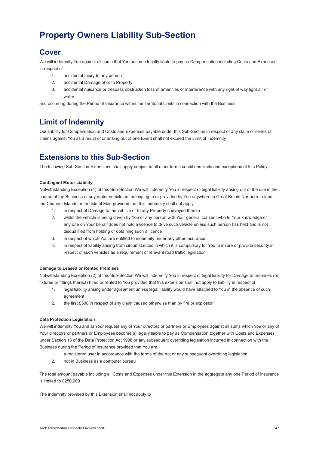# <span id="page-47-0"></span>**Property Owners Liability Sub-Section**

### **Cover**

We will indemnify You against all sums that You become legally liable to pay as Compensation including Costs and Expenses in respect of

- 1. accidental Injury to any person
- 2. accidental Damage of or to Property
- 3. accidental nuisance or trespass obstruction loss of amenities or interference with any right of way light air or water

and occurring during the Period of Insurance within the Territorial Limits in connection with the Business

### **Limit of Indemnity**

Our liability for Compensation and Costs and Expenses payable under this Sub-Section in respect of any claim or series of claims against You as a result of or arising out of one Event shall not exceed the Limit of Indemnity

### **Extensions to this Sub-Section**

The following Sub-Section Extensions shall apply subject to all other terms conditions limits and exceptions of this Policy

#### **Contingent Motor Liability**

Notwithstanding Exception (4) of this Sub-Section We will indemnify You in respect of legal liability arising out of the use in the course of the Business of any motor vehicle not belonging to or provided by You anywhere in Great Britain Northern Ireland the Channel Islands or the Isle of Man provided that this indemnity shall not apply

- 1. in respect of Damage to the vehicle or to any Property conveyed therein
- 2. whilst the vehicle is being driven by You or any person with Your general consent who to Your knowledge or any one on Your behalf does not hold a licence to drive such vehicle unless such person has held and is not disqualified from holding or obtaining such a licence
- 3. in respect of which You are entitled to indemnity under any other insurance
- 4. in respect of liability arising from circumstances in which it is compulsory for You to insure or provide security in respect of such vehicles as a requirement of relevant road traffic legislation

#### **Damage to Leased or Rented Premises**

Notwithstanding Exception (2) of this Sub-Section We will indemnify You in respect of legal liability for Damage to premises (or fixtures or fittings thereof) hired or rented to You provided that this extension shall not apply to liability in respect of

- 1. legal liability arising under agreement unless legal liability would have attached to You in the absence of such agreement
- 2. the first £500 in respect of any claim caused otherwise than by fire or explosion

#### **Data Protection Legislation**

We will indemnify You and at Your request any of Your directors or partners or Employees against all sums which You or any of Your directors or partners or Employees become(s) legally liable to pay as Compensation together with Costs and Expenses under Section 13 of the Data Protection Act 1998 or any subsequent overriding legislation incurred in connection with the Business during the Period of Insurance provided that You are

- 1. a registered user in accordance with the terms of the Act or any subsequent overriding legislation
- 2. not in Business as a computer bureau

The total amount payable including all Costs and Expenses under this Extension in the aggregate any one Period of Insurance is limited to £250,000

The indemnity provided by this Extension shall not apply to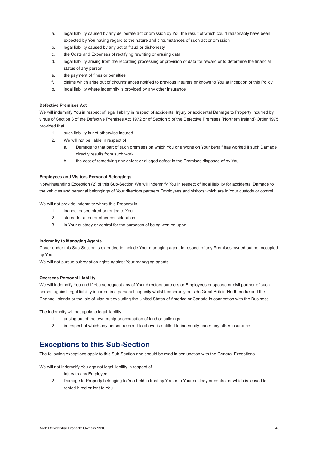- a. legal liability caused by any deliberate act or omission by You the result of which could reasonably have been expected by You having regard to the nature and circumstances of such act or omission
- b. legal liability caused by any act of fraud or dishonesty
- c. the Costs and Expenses of rectifying rewriting or erasing data
- d. legal liability arising from the recording processing or provision of data for reward or to determine the financial status of any person
- e. the payment of fines or penalties
- f. claims which arise out of circumstances notified to previous insurers or known to You at inception of this Policy
- g. legal liability where indemnity is provided by any other insurance

#### **Defective Premises Act**

We will indemnify You in respect of legal liability in respect of accidental Injury or accidental Damage to Property incurred by virtue of Section 3 of the Defective Premises Act 1972 or of Section 5 of the Defective Premises (Northern Ireland) Order 1975 provided that

- 1. such liability is not otherwise insured
- 2. We will not be liable in respect of
	- a. Damage to that part of such premises on which You or anyone on Your behalf has worked if such Damage directly results from such work
	- b. the cost of remedying any defect or alleged defect in the Premises disposed of by You

#### **Employees and Visitors Personal Belongings**

Notwithstanding Exception (2) of this Sub-Section We will indemnify You in respect of legal liability for accidental Damage to the vehicles and personal belongings of Your directors partners Employees and visitors which are in Your custody or control

We will not provide indemnity where this Property is

- 1. loaned leased hired or rented to You
- 2. stored for a fee or other consideration
- 3. in Your custody or control for the purposes of being worked upon

#### **Indemnity to Managing Agents**

Cover under this Sub-Section is extended to include Your managing agent in respect of any Premises owned but not occupied by You

We will not pursue subrogation rights against Your managing agents

#### **Overseas Personal Liability**

We will indemnify You and if You so request any of Your directors partners or Employees or spouse or civil partner of such person against legal liability incurred in a personal capacity whilst temporarily outside Great Britain Northern Ireland the Channel Islands or the Isle of Man but excluding the United States of America or Canada in connection with the Business

The indemnity will not apply to legal liability

- 1. arising out of the ownership or occupation of land or buildings
- 2. in respect of which any person referred to above is entitled to indemnity under any other insurance

### **Exceptions to this Sub-Section**

The following exceptions apply to this Sub-Section and should be read in conjunction with the General Exceptions

We will not indemnify You against legal liability in respect of

- 1. Injury to any Employee
- 2. Damage to Property belonging to You held in trust by You or in Your custody or control or which is leased let rented hired or lent to You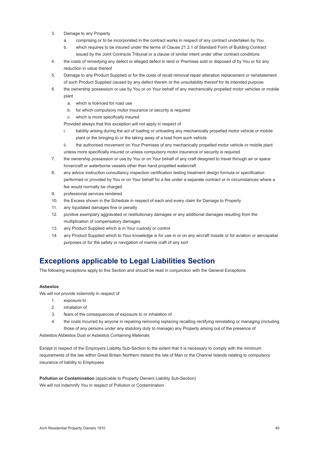- 3. Damage to any Property
	- a. comprising or to be incorporated in the contract works in respect of any contract undertaken by You
	- b. which requires to be insured under the terms of Clause 21.2.1 of Standard Form of Building Contract issued by the Joint Contracts Tribunal or a clause of similar intent under other contract conditions
- 4. the costs of remedying any defect or alleged defect in land or Premises sold or disposed of by You or for any reduction in value thereof
- 5. Damage to any Product Supplied or for the costs of recall removal repair alteration replacement or reinstatement of such Product Supplied caused by any defect therein or the unsuitability thereof for its intended purpose
- 6. the ownership possession or use by You or on Your behalf of any mechanically propelled motor vehicles or mobile plant
	- a. which is licenced for road use
	- b. for which compulsory motor insurance or security is required
	- c. which is more specifically insured

Provided always that this exception will not apply in respect of

- i. liability arising during the act of loading or unloading any mechanically propelled motor vehicle or mobile plant or the bringing to or the taking away of a load from such vehicle
- ii. the authorised movement on Your Premises of any mechanically propelled motor vehicle or mobile plant unless more specifically insured or unless compulsory motor insurance or security is required
- 7. the ownership possession or use by You or on Your behalf of any craft designed to travel through air or space hovercraft or waterborne vessels other than hand propelled watercraft
- 8. any advice instruction consultancy inspection certification testing treatment design formula or specification performed or provided by You or on Your behalf for a fee under a separate contract or in circumstances where a fee would normally be charged
- 9. professional services rendered
- 10. the Excess shown in the Schedule in respect of each and every claim for Damage to Property
- 11. any liquidated damages fine or penalty
- 12. punitive exemplary aggravated or restitutionary damages or any additional damages resulting from the multiplication of compensatory damages
- 13. any Product Supplied which is in Your custody or control
- 14. any Product Supplied which to Your knowledge is for use in or on any aircraft missile or for aviation or aerospatial purposes or for the safety or navigation of marine craft of any sort

### **Exceptions applicable to Legal Liabilities Section**

The following exceptions apply to this Section and should be read in conjunction with the General Exceptions

#### **Asbestos**

We will not provide indemnity in respect of

- 1. exposure to
- 2. inhalation of
- 3. fears of the consequences of exposure to or inhalation of
- 4. the costs incurred by anyone in repairing removing replacing recalling rectifying reinstating or managing (including those of any persons under any statutory duty to manage) any Property arising out of the presence of

Asbestos Asbestos Dust or Asbestos Containing Materials

Except in respect of the Employers Liability Sub-Section to the extent that it is necessary to comply with the minimum requirements of the law within Great Britain Northern Ireland the Isle of Man or the Channel Islands relating to compulsory insurance of liability to Employees

**Pollution or Contamination** (applicable to Property Owners Liability Sub-Section) We will not indemnify You in respect of Pollution or Contamination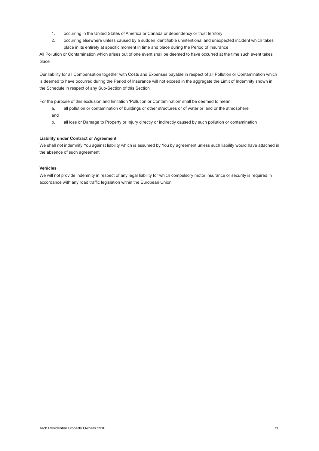- 1. occurring in the United States of America or Canada or dependency or trust territory
- 2. occurring elsewhere unless caused by a sudden identifiable unintentional and unexpected incident which takes place in its entirety at specific moment in time and place during the Period of Insurance

All Pollution or Contamination which arises out of one event shall be deemed to have occurred at the time such event takes place

Our liability for all Compensation together with Costs and Expenses payable in respect of all Pollution or Contamination which is deemed to have occurred during the Period of Insurance will not exceed in the aggregate the Limit of Indemnity shown in the Schedule in respect of any Sub-Section of this Section

For the purpose of this exclusion and limitation 'Pollution or Contamination' shall be deemed to mean

- a. all pollution or contamination of buildings or other structures or of water or land or the atmosphere and
- b. all loss or Damage to Property or Injury directly or indirectly caused by such pollution or contamination

#### **Liability under Contract or Agreement**

We shall not indemnify You against liability which is assumed by You by agreement unless such liability would have attached in the absence of such agreement

#### **Vehicles**

We will not provide indemnity in respect of any legal liability for which compulsory motor insurance or security is required in accordance with any road traffic legislation within the European Union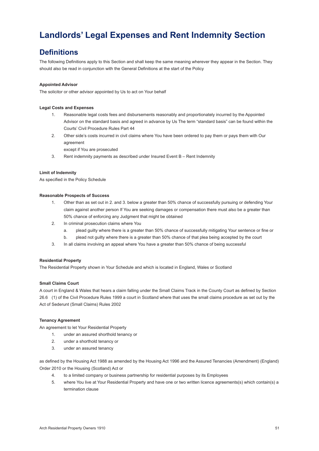### **Landlords' Legal Expenses and Rent Indemnity Section**

### **Definitions**

The following Definitions apply to this Section and shall keep the same meaning wherever they appear in the Section. They should also be read in conjunction with the General Definitions at the start of the Policy

#### **Appointed Advisor**

The solicitor or other advisor appointed by Us to act on Your behalf

#### **Legal Costs and Expenses**

- 1. Reasonable legal costs fees and disbursements reasonably and proportionately incurred by the Appointed Advisor on the standard basis and agreed in advance by Us The term "standard basis" can be found within the Courts' Civil Procedure Rules Part 44
- 2. Other side's costs incurred in civil claims where You have been ordered to pay them or pays them with Our agreement
	- except if You are prosecuted
- 3. Rent indemnity payments as described under Insured Event B Rent Indemnity

#### **Limit of Indemnity**

As specified in the Policy Schedule

#### **Reasonable Prospects of Success**

- 1. Other than as set out in 2. and 3. below a greater than 50% chance of successfully pursuing or defending Your claim against another person If You are seeking damages or compensation there must also be a greater than 50% chance of enforcing any Judgment that might be obtained
- 2. In criminal prosecution claims where You
	- a. plead guilty where there is a greater than 50% chance of successfully mitigating Your sentence or fine or
	- b. plead not guilty where there is a greater than 50% chance of that plea being accepted by the court
- 3. In all claims involving an appeal where You have a greater than 50% chance of being successful

#### **Residential Property**

The Residential Property shown in Your Schedule and which is located in England, Wales or Scotland

#### **Small Claims Court**

A court in England & Wales that hears a claim falling under the Small Claims Track in the County Court as defined by Section 26.6 (1) of the Civil Procedure Rules 1999 a court in Scotland where that uses the small claims procedure as set out by the Act of Sederunt (Small Claims) Rules 2002

#### **Tenancy Agreement**

An agreement to let Your Residential Property

- 1. under an assured shorthold tenancy or
- 2. under a shorthold tenancy or
- 3. under an assured tenancy

as defined by the Housing Act 1988 as amended by the Housing Act 1996 and the Assured Tenancies (Amendment) (England) Order 2010 or the Housing (Scotland) Act or

- 4. to a limited company or business partnership for residential purposes by its Employees
- 5. where You live at Your Residential Property and have one or two written licence agreements(s) which contain(s) a termination clause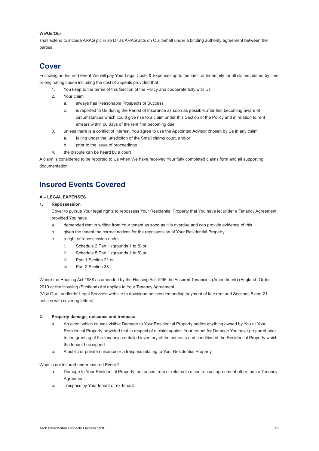#### <span id="page-52-0"></span>**We/Us/Our**

shall extend to include ARAG plc in so far as ARAG acts on Our behalf under a binding authority agreement between the parties

### **Cover**

Following an Insured Event We will pay Your Legal Costs & Expenses up to the Limit of Indemnity for all claims related by time or originating cause including the cost of appeals provided that

- 1. You keep to the terms of this Section of the Policy and cooperate fully with Us
- 2. Your claim
	- a. always has Reasonable Prospects of Success
	- b. is reported to Us during the Period of Insurance as soon as possible after first becoming aware of circumstances which could give rise to a claim under this Section of the Policy and in relation to rent arrears within 60 days of the rent first becoming due
- 3. unless there is a conflict of interest, You agree to use the Appointed Advisor chosen by Us in any claim
	- a. falling under the jurisdiction of the Small claims court, and/or
	- b. prior to the issue of proceedings
- 4. the dispute can be heard by a court

A claim is considered to be reported to Us when We have received Your fully completed claims form and all supporting documentation

### **Insured Events Covered**

#### **A – LEGAL EXPENSES**

#### **1. Repossession**

Cover to pursue Your legal rights to repossess Your Residential Property that You have let under a Tenancy Agreement provided You have

- a. demanded rent in writing from Your tenant as soon as it is overdue and can provide evidence of this
- b. given the tenant the correct notices for the repossession of Your Residential Property
- c. a right of repossession under
	- i. Schedule 2 Part 1 (grounds 1 to 8) or
	- ii. Schedule 5 Part 1 (grounds 1 to 8) or
	- iii. Part 1 Section 21 or
	- iv. Part 2 Section 33

Where the Housing Act 1988 as amended by the Housing Act 1996 the Assured Tenancies (Amendment) (England) Order 2010 or the Housing (Scotland) Act applies to Your Tenancy Agreement

(Visit Our Landlords' Legal Services website to download notices demanding payment of late rent and Sections 8 and 21 notices with covering letters)

#### **2. Property damage, nuisance and trespass**

- a. An event which causes visible Damage to Your Residential Property and/or anything owned by You at Your Residential Property provided that in respect of a claim against Your tenant for Damage You have prepared prior to the granting of the tenancy a detailed inventory of the contents and condition of the Residential Property which the tenant has signed
- b. A public or private nuisance or a trespass relating to Your Residential Property

#### What is not insured under Insured Event 2

- a. Damage to Your Residential Property that arises from or relates to a contractual agreement other than a Tenancy Agreement
- b. Trespass by Your tenant or ex-tenant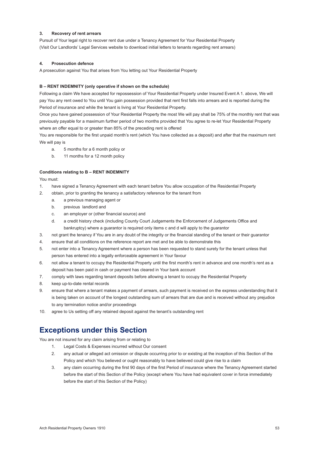#### **3. Recovery of rent arrears**

Pursuit of Your legal right to recover rent due under a Tenancy Agreement for Your Residential Property (Visit Our Landlords' Legal Services website to download initial letters to tenants regarding rent arrears)

#### **4. Prosecution defence**

A prosecution against You that arises from You letting out Your Residential Property

#### **B – RENT INDEMNITY (only operative if shown on the schedule)**

Following a claim We have accepted for repossession of Your Residential Property under Insured Event A 1. above, We will pay You any rent owed to You until You gain possession provided that rent first falls into arrears and is reported during the Period of insurance and while the tenant is living at Your Residential Property.

Once you have gained possession of Your Residential Property the most We will pay shall be 75% of the monthly rent that was previously payable for a maximum further period of two months provided that You agree to re-let Your Residential Property where an offer equal to or greater than 85% of the preceding rent is offered

You are responsible for the first unpaid month's rent (which You have collected as a deposit) and after that the maximum rent We will pay is

- a. 5 months for a 6 month policy or
- b. 11 months for a 12 month policy

#### **Conditions relating to B – RENT INDEMNITY**

You must:

- 1. have signed a Tenancy Agreement with each tenant before You allow occupation of the Residential Property
- 2. obtain, prior to granting the tenancy a satisfactory reference for the tenant from
	- a. a previous managing agent or
	- b. previous landlord and
	- c. an employer or (other financial source) and
	- d. a credit history check (including County Court Judgements the Enforcement of Judgements Office and bankruptcy) where a guarantor is required only items c and d will apply to the guarantor
- 3. not grant the tenancy if You are in any doubt of the integrity or the financial standing of the tenant or their guarantor
- 4. ensure that all conditions on the reference report are met and be able to demonstrate this
- 5. not enter into a Tenancy Agreement where a person has been requested to stand surety for the tenant unless that person has entered into a legally enforceable agreement in Your favour
- 6. not allow a tenant to occupy the Residential Property until the first month's rent in advance and one month's rent as a deposit has been paid in cash or payment has cleared in Your bank account
- 7. comply with laws regarding tenant deposits before allowing a tenant to occupy the Residential Property
- 8. keep up-to-date rental records
- 9. ensure that where a tenant makes a payment of arrears, such payment is received on the express understanding that it is being taken on account of the longest outstanding sum of arrears that are due and is received without any prejudice to any termination notice and/or proceedings
- 10. agree to Us setting off any retained deposit against the tenant's outstanding rent

### **Exceptions under this Section**

You are not insured for any claim arising from or relating to

- 1. Legal Costs & Expenses incurred without Our consent
- 2. any actual or alleged act omission or dispute occurring prior to or existing at the inception of this Section of the Policy and which You believed or ought reasonably to have believed could give rise to a claim
- 3. any claim occurring during the first 90 days of the first Period of insurance where the Tenancy Agreement started before the start of this Section of the Policy (except where You have had equivalent cover in force immediately before the start of this Section of the Policy)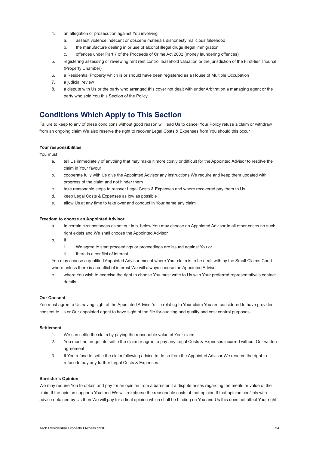- 4. an allegation or prosecution against You involving
	- a. assault violence indecent or obscene materials dishonesty malicious falsehood
	- b. the manufacture dealing in or use of alcohol illegal drugs illegal immigration
	- c. offences under Part 7 of the Proceeds of Crime Act 2002 (money laundering offences)
- 5. registering assessing or reviewing rent rent control leasehold valuation or the jurisdiction of the First-tier Tribunal (Property Chamber)
- 6. a Residential Property which is or should have been registered as a House of Multiple Occupation
- 7. a judicial review
- 8. a dispute with Us or the party who arranged this cover not dealt with under Arbitration a managing agent or the party who sold You this Section of the Policy

### **Conditions Which Apply to This Section**

Failure to keep to any of these conditions without good reason will lead Us to cancel Your Policy refuse a claim or withdraw from an ongoing claim We also reserve the right to recover Legal Costs & Expenses from You should this occur

#### **Your responsibilities**

You must

- a. tell Us immediately of anything that may make it more costly or difficult for the Appointed Advisor to resolve the claim in Your favour
- b. cooperate fully with Us give the Appointed Advisor any instructions We require and keep them updated with progress of the claim and not hinder them
- c. take reasonable steps to recover Legal Costs & Expenses and where recovered pay them to Us
- d. keep Legal Costs & Expenses as low as possible
- e. allow Us at any time to take over and conduct in Your name any claim

#### **Freedom to choose an Appointed Advisor**

- a. In certain circumstances as set out in b. below You may choose an Appointed Advisor In all other cases no such right exists and We shall choose the Appointed Advisor
- b. If
	- i. We agree to start proceedings or proceedings are issued against You or
	- ii. there is a conflict of interest

You may choose a qualified Appointed Advisor except where Your claim is to be dealt with by the Small Claims Court where unless there is a conflict of interest We will always choose the Appointed Advisor

c. where You wish to exercise the right to choose You must write to Us with Your preferred representative's contact details

#### **Our Consent**

You must agree to Us having sight of the Appointed Advisor's file relating to Your claim You are considered to have provided consent to Us or Our appointed agent to have sight of the file for auditing and quality and cost control purposes

#### **Settlement**

- 1. We can settle the claim by paying the reasonable value of Your claim
- 2. You must not negotiate settle the claim or agree to pay any Legal Costs & Expenses incurred without Our written agreement
- 3. If You refuse to settle the claim following advice to do so from the Appointed Advisor We reserve the right to refuse to pay any further Legal Costs & Expenses

#### **Barrister's Opinion**

We may require You to obtain and pay for an opinion from a barrister if a dispute arises regarding the merits or value of the claim If the opinion supports You then We will reimburse the reasonable costs of that opinion If that opinion conflicts with advice obtained by Us then We will pay for a final opinion which shall be binding on You and Us this does not affect Your right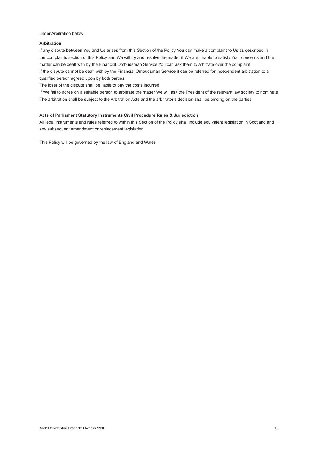under Arbitration below

#### **Arbitration**

If any dispute between You and Us arises from this Section of the Policy You can make a complaint to Us as described in the complaints section of this Policy and We will try and resolve the matter if We are unable to satisfy Your concerns and the matter can be dealt with by the Financial Ombudsman Service You can ask them to arbitrate over the complaint If the dispute cannot be dealt with by the Financial Ombudsman Service it can be referred for independent arbitration to a qualified person agreed upon by both parties

The loser of the dispute shall be liable to pay the costs incurred

If We fail to agree on a suitable person to arbitrate the matter We will ask the President of the relevant law society to nominate The arbitration shall be subject to the Arbitration Acts and the arbitrator's decision shall be binding on the parties

#### **Acts of Parliament Statutory Instruments Civil Procedure Rules & Jurisdiction**

All legal instruments and rules referred to within this Section of the Policy shall include equivalent legislation in Scotland and any subsequent amendment or replacement legislation

This Policy will be governed by the law of England and Wales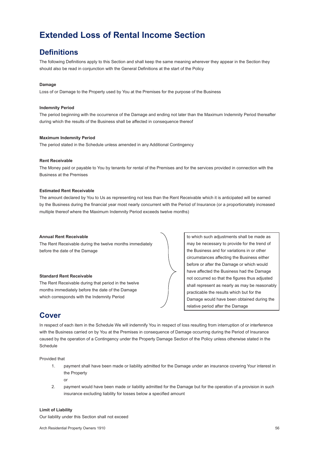### **Extended Loss of Rental Income Section**

### **Definitions**

The following Definitions apply to this Section and shall keep the same meaning wherever they appear in the Section they should also be read in conjunction with the General Definitions at the start of the Policy

#### **Damage**

Loss of or Damage to the Property used by You at the Premises for the purpose of the Business

#### **Indemnity Period**

The period beginning with the occurrence of the Damage and ending not later than the Maximum Indemnity Period thereafter during which the results of the Business shall be affected in consequence thereof

#### **Maximum Indemnity Period**

The period stated in the Schedule unless amended in any Additional Contingency

#### **Rent Receivable**

The Money paid or payable to You by tenants for rental of the Premises and for the services provided in connection with the Business at the Premises

#### **Estimated Rent Receivable**

The amount declared by You to Us as representing not less than the Rent Receivable which it is anticipated will be earned by the Business during the financial year most nearly concurrent with the Period of Insurance (or a proportionately increased multiple thereof where the Maximum Indemnity Period exceeds twelve months)

#### **Annual Rent Receivable**

The Rent Receivable during the twelve months immediately before the date of the Damage

#### **Standard Rent Receivable**

The Rent Receivable during that period in the twelve months immediately before the date of the Damage which corresponds with the Indemnity Period

to which such adjustments shall be made as may be necessary to provide for the trend of the Business and for variations in or other circumstances affecting the Business either before or after the Damage or which would have affected the Business had the Damage not occurred so that the figures thus adjusted shall represent as nearly as may be reasonably practicable the results which but for the Damage would have been obtained during the relative period after the Damage

### **Cover**

In respect of each item in the Schedule We will indemnify You in respect of loss resulting from interruption of or interference with the Business carried on by You at the Premises in consequence of Damage occurring during the Period of Insurance caused by the operation of a Contingency under the Property Damage Section of the Policy unless otherwise stated in the Schedule

Provided that

- 1. payment shall have been made or liability admitted for the Damage under an insurance covering Your interest in the Property
	- or
- 2. payment would have been made or liability admitted for the Damage but for the operation of a provision in such
- insurance excluding liability for losses below a specified amount

#### **Limit of Liability**

Our liability under this Section shall not exceed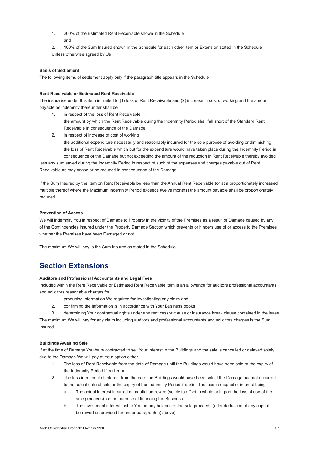- <span id="page-57-0"></span>1. 200% of the Estimated Rent Receivable shown in the Schedule and
- 2. 100% of the Sum Insured shown in the Schedule for each other item or Extension stated in the Schedule Unless otherwise agreed by Us

#### **Basis of Settlement**

The following items of settlement apply only if the paragraph title appears in the Schedule

#### **Rent Receivable or Estimated Rent Receivable**

The insurance under this item is limited to (1) loss of Rent Receivable and (2) increase in cost of working and the amount payable as indemnity thereunder shall be

- 1. in respect of the loss of Rent Receivable the amount by which the Rent Receivable during the Indemnity Period shall fall short of the Standard Rent Receivable in consequence of the Damage
- 2. in respect of increase of cost of working the additional expenditure necessarily and reasonably incurred for the sole purpose of avoiding or diminishing the loss of Rent Receivable which but for the expenditure would have taken place during the Indemnity Period in consequence of the Damage but not exceeding the amount of the reduction in Rent Receivable thereby avoided

less any sum saved during the Indemnity Period in respect of such of the expenses and charges payable out of Rent Receivable as may cease or be reduced in consequence of the Damage

If the Sum Insured by the item on Rent Receivable be less than the Annual Rent Receivable (or at a proportionately increased multiple thereof where the Maximum lndemnity Period exceeds twelve months) the amount payable shall be proportionately reduced

#### **Prevention of Access**

We will indemnify You in respect of Damage to Property in the vicinity of the Premises as a result of Damage caused by any of the Contingencies insured under the Property Damage Section which prevents or hinders use of or access to the Premises whether the Premises have been Damaged or not

The maximum We will pay is the Sum Insured as stated in the Schedule

### **Section Extensions**

#### **Auditors and Professional Accountants and Legal Fees**

Included within the Rent Receivable or Estimated Rent Receivable item is an allowance for auditors professional accountants and solicitors reasonable charges for

- 1. producing information We required for investigating any claim and
- 2. confirming the information is in accordance with Your Business books
- 3. determining Your contractual rights under any rent cessor clause or insurance break clause contained in the lease

The maximum We will pay for any claim including auditors and professional accountants and solicitors charges is the Sum Insured

#### **Buildings Awaiting Sale**

If at the time of Damage You have contracted to sell Your interest in the Buildings and the sale is cancelled or delayed solely due to the Damage We will pay at Your option either

- 1. The loss of Rent Receivable from the date of Damage until the Buildings would have been sold or the expiry of the Indemnity Period if earlier or
- 2. The loss in respect of interest from the date the Buildings would have been sold if the Damage had not occurred to the actual date of sale or the expiry of the Indemnity Period if earlier The loss in respect of interest being
	- a. The actual interest incurred on capital borrowed (solely to offset in whole or in part the loss of use of the sale proceeds) for the purpose of financing the Business
	- b. The investment interest lost to You on any balance of the sale proceeds (after deduction of any capital borrowed as provided for under paragraph a) above)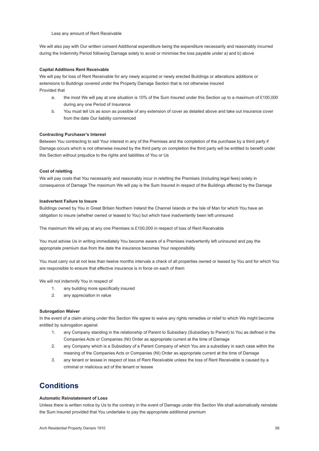Less any amount of Rent Receivable

We will also pay with Our written consent Additional expenditure being the expenditure necessarily and reasonably incurred during the Indemnity Period following Damage solely to avoid or minimise the loss payable under a) and b) above

#### **Capital Additions Rent Receivable**

We will pay for loss of Rent Receivable for any newly acquired or newly erected Buildings or alterations additions or extensions to Buildings covered under the Property Damage Section that is not otherwise insured Provided that

- a. the most We will pay at one situation is 10% of the Sum Insured under this Section up to a maximum of £100,000 during any one Period of Insurance
- b. You must tell Us as soon as possible of any extension of cover as detailed above and take out insurance cover from the date Our liability commenced

#### **Contracting Purchaser's Interest**

Between You contracting to sell Your interest in any of the Premises and the completion of the purchase by a third party if Damage occurs which is not otherwise insured by the third party on completion the third party will be entitled to benefit under this Section without prejudice to the rights and liabilities of You or Us

#### **Cost of reletting**

We will pay costs that You necessarily and reasonably incur in reletting the Premises (including legal fees) solely in consequence of Damage The maximum We will pay is the Sum Insured in respect of the Buildings affected by the Damage

#### **Inadvertent Failure to Insure**

Buildings owned by You in Great Britain Northern Ireland the Channel Islands or the Isle of Man for which You have an obligation to insure (whether owned or leased to You) but which have inadvertently been left uninsured

The maximum We will pay at any one Premises is £100,000 in respect of loss of Rent Receivable

You must advise Us in writing immediately You become aware of a Premises inadvertently left uninsured and pay the appropriate premium due from the date the insurance becomes Your responsibility

You must carry out at not less than twelve months intervals a check of all properties owned or leased by You and for which You are responsible to ensure that effective insurance is in force on each of them

We will not indemnify You in respect of

- 1. any building more specifically insured
- 2. any appreciation in value

#### **Subrogation Waiver**

In the event of a claim arising under this Section We agree to waive any rights remedies or relief to which We might become entitled by subrogation against

- 1. any Company standing in the relationship of Parent to Subsidiary (Subsidiary to Parent) to You as defined in the Companies Acts or Companies (NI) Order as appropriate current at the time of Damage
- 2. any Company which is a Subsidiary of a Parent Company of which You are a subsidiary in each case within the meaning of the Companies Acts or Companies (NI) Order as appropriate current at the time of Damage
- 3. any tenant or lessee in respect of loss of Rent Receivable unless the loss of Rent Receivable is caused by a criminal or malicious act of the tenant or lessee

### **Conditions**

#### **Automatic Reinstatement of Loss**

Unless there is written notice by Us to the contrary in the event of Damage under this Section We shall automatically reinstate the Sum Insured provided that You undertake to pay the appropriate additional premium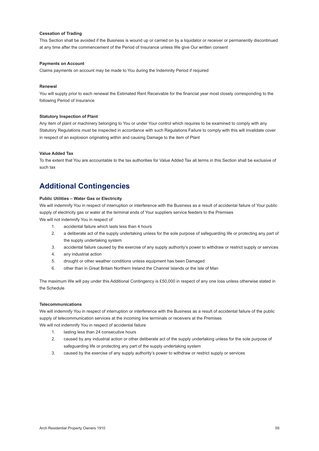#### <span id="page-59-0"></span>**Cessation of Trading**

This Section shall be avoided if the Business is wound up or carried on by a liquidator or receiver or permanently discontinued at any time after the commencement of the Period of Insurance unless We give Our written consent

#### **Payments on Account**

Claims payments on account may be made to You during the Indemnity Period if required

#### **Renewal**

You will supply prior to each renewal the Estimated Rent Receivable for the financial year most closely corresponding to the following Period of Insurance

#### **Statutory Inspection of Plant**

Any item of plant or machinery belonging to You or under Your control which requires to be examined to comply with any Statutory Regulations must be inspected in accordance with such Regulations Failure to comply with this will invalidate cover in respect of an explosion originating within and causing Damage to the item of Plant

#### **Value Added Tax**

To the extent that You are accountable to the tax authorities for Value Added Tax all terms in this Section shall be exclusive of such tax

### **Additional Contingencies**

#### **Public Utilities – Water Gas or Electricity**

We will indemnify You in respect of interruption or interference with the Business as a result of accidental failure of Your public supply of electricity gas or water at the terminal ends of Your suppliers service feeders to the Premises We will not indemnify You in respect of

- 1. accidental failure which lasts less than 4 hours
- 2. a deliberate act of the supply undertaking unless for the sole purpose of safeguarding life or protecting any part of the supply undertaking system
- 3. accidental failure caused by the exercise of any supply authority's power to withdraw or restrict supply or services
- 4. any industrial action
- 5. drought or other weather conditions unless equipment has been Damaged
- 6. other than in Great Britain Northern Ireland the Channel Islands or the Isle of Man

The maximum We will pay under this Additional Contingency is £50,000 in respect of any one loss unless otherwise stated in the Schedule

#### **Telecommunications**

We will indemnify You in respect of interruption or interference with the Business as a result of accidental failure of the public supply of telecommunication services at the incoming line terminals or receivers at the Premises

- We will not indemnify You in respect of accidental failure
	- 1. lasting less than 24 consecutive hours
	- 2. caused by any industrial action or other deliberate act of the supply undertaking unless for the sole purpose of safeguarding life or protecting any part of the supply undertaking system
	- 3. caused by the exercise of any supply authority's power to withdraw or restrict supply or services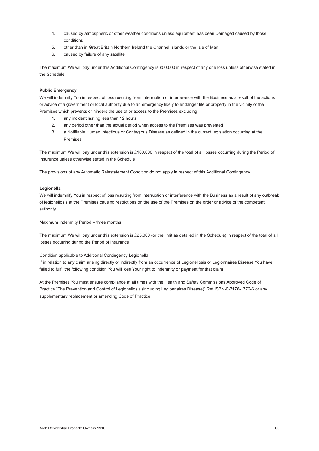- 4. caused by atmospheric or other weather conditions unless equipment has been Damaged caused by those conditions
- 5. other than in Great Britain Northern Ireland the Channel Islands or the Isle of Man
- 6. caused by failure of any satellite

The maximum We will pay under this Additional Contingency is £50,000 in respect of any one loss unless otherwise stated in the Schedule

#### **Public Emergency**

We will indemnify You in respect of loss resulting from interruption or interference with the Business as a result of the actions or advice of a government or local authority due to an emergency likely to endanger life or property in the vicinity of the Premises which prevents or hinders the use of or access to the Premises excluding

- 1. any incident lasting less than 12 hours
- 2. any period other than the actual period when access to the Premises was prevented
- 3. a Notifiable Human Infectious or Contagious Disease as defined in the current legislation occurring at the Premises

The maximum We will pay under this extension is £100,000 in respect of the total of all losses occurring during the Period of Insurance unless otherwise stated in the Schedule

The provisions of any Automatic Reinstatement Condition do not apply in respect of this Additional Contingency

#### **Legionella**

We will indemnify You in respect of loss resulting from interruption or interference with the Business as a result of any outbreak of legionellosis at the Premises causing restrictions on the use of the Premises on the order or advice of the competent authority

Maximum Indemnity Period – three months

The maximum We will pay under this extension is £25,000 (or the limit as detailed in the Schedule) in respect of the total of all losses occurring during the Period of Insurance

#### Condition applicable to Additional Contingency Legionella

If in relation to any claim arising directly or indirectly from an occurrence of Legionellosis or Legionnaires Disease You have failed to fulfil the following condition You will lose Your right to indemnity or payment for that claim

At the Premises You must ensure compliance at all times with the Health and Safety Commissions Approved Code of Practice "The Prevention and Control of Legionellosis (including Legionnaires Disease)" Ref ISBN-0-7176-1772-6 or any supplementary replacement or amending Code of Practice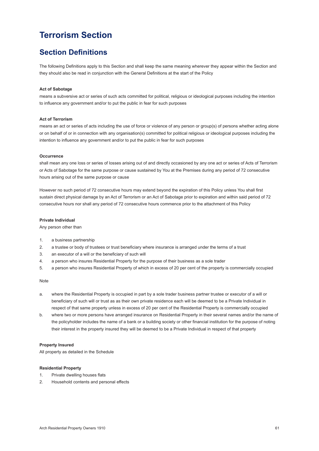### **Terrorism Section**

### **Section Definitions**

The following Definitions apply to this Section and shall keep the same meaning wherever they appear within the Section and they should also be read in conjunction with the General Definitions at the start of the Policy

#### **Act of Sabotage**

means a subversive act or series of such acts committed for political, religious or ideological purposes including the intention to influence any government and/or to put the public in fear for such purposes

#### **Act of Terrorism**

means an act or series of acts including the use of force or violence of any person or group(s) of persons whether acting alone or on behalf of or in connection with any organisation(s) committed for political religious or ideological purposes including the intention to influence any government and/or to put the public in fear for such purposes

#### **Occurrence**

shall mean any one loss or series of losses arising out of and directly occasioned by any one act or series of Acts of Terrorism or Acts of Sabotage for the same purpose or cause sustained by You at the Premises during any period of 72 consecutive hours arising out of the same purpose or cause

However no such period of 72 consecutive hours may extend beyond the expiration of this Policy unless You shall first sustain direct physical damage by an Act of Terrorism or an Act of Sabotage prior to expiration and within said period of 72 consecutive hours nor shall any period of 72 consecutive hours commence prior to the attachment of this Policy

#### **Private Individual**

Any person other than

- 1. a business partnership
- 2. a trustee or body of trustees or trust beneficiary where insurance is arranged under the terms of a trust
- 3. an executor of a will or the beneficiary of such will
- 4. a person who insures Residential Property for the purpose of their business as a sole trader
- 5. a person who insures Residential Property of which in excess of 20 per cent of the property is commercially occupied

#### **Note**

- a. where the Residential Property is occupied in part by a sole trader business partner trustee or executor of a will or beneficiary of such will or trust as as their own private residence each will be deemed to be a Private Individual in respect of that same property unless in excess of 20 per cent of the Residential Property is commercially occupied
- b. where two or more persons have arranged insurance on Residential Property in their several names and/or the name of the policyholder includes the name of a bank or a building society or other financial institution for the purpose of noting their interest in the property insured they will be deemed to be a Private Individual in respect of that property

#### **Property Insured**

All property as detailed in the Schedule

#### **Residential Property**

- 1. Private dwelling houses flats
- 2. Household contents and personal effects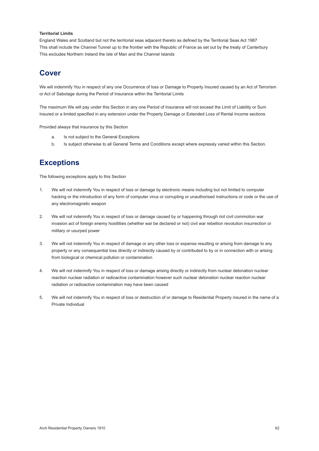#### **Territorial Limits**

England Wales and Scotland but not the territorial seas adjacent thereto as defined by the Territorial Seas Act 1987 This shall include the Channel Tunnel up to the frontier with the Republic of France as set out by the treaty of Canterbury This excludes Northern Ireland the Isle of Man and the Channel Islands

### **Cover**

We will indemnify You in respect of any one Occurrence of loss or Damage to Property Insured caused by an Act of Terrorism or Act of Sabotage during the Period of Insurance within the Territorial Limits

The maximum We will pay under this Section in any one Period of Insurance will not exceed the Limit of Liability or Sum Insured or a limited specified in any extension under the Property Damage or Extended Loss of Rental Income sections

Provided always that insurance by this Section

- a. Is not subject to the General Exceptions
- b. Is subject otherwise to all General Terms and Conditions except where expressly varied within this Section.

### **Exceptions**

The following exceptions apply to this Section

- 1. We will not indemnify You in respect of loss or damage by electronic means including but not limited to computer hacking or the introduction of any form of computer virus or corrupting or unauthorised instructions or code or the use of any electromagnetic weapon
- 2. We will not indemnify You in respect of loss or damage caused by or happening through riot civil commotion war invasion act of foreign enemy hostilities (whether war be declared or not) civil war rebellion revolution insurrection or military or usurped power
- 3. We will not indemnify You in respect of damage or any other loss or expense resulting or arising from damage to any property or any consequential loss directly or indirectly caused by or contributed to by or in connection with or arising from biological or chemical pollution or contamination
- 4. We will not indemnify You in respect of loss or damage arising directly or indirectly from nuclear detonation nuclear reaction nuclear radiation or radioactive contamination however such nuclear detonation nuclear reaction nuclear radiation or radioactive contamination may have been caused
- 5. We will not indemnify You in respect of loss or destruction of or damage to Residential Property insured in the name of a Private Individual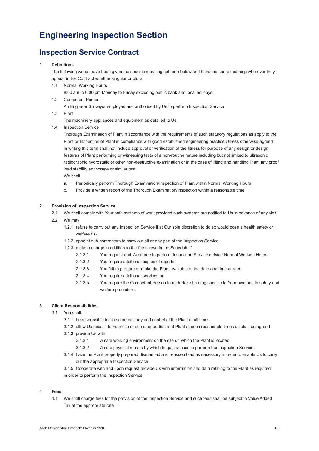### **Engineering Inspection Section**

### **Inspection Service Contract**

#### **1. Definitions**

The following words have been given the specific meaning set forth below and have the same meaning wherever they appear in the Contract whether singular or plural

1.1 Normal Working Hours

8:00 am to 6:00 pm Monday to Friday excluding public bank and local holidays

 1.2 Competent Person

An Engineer Surveyor employed and authorised by Us to perform Inspection Service

1.3 Plant

The machinery appliances and equipment as detailed to Us

1.4 Inspection Service

 Thorough Examination of Plant in accordance with the requirements of such statutory regulations as apply to the Plant or Inspection of Plant in compliance with good established engineering practice Unless otherwise agreed in writing this term shall not include approval or verification of the fitness for purpose of any design or design features of Plant performing or witnessing tests of a non-routine nature including but not limited to ultrasonic radiographic hydrostatic or other non-destructive examination or in the case of lifting and handling Plant any proof load stability anchorage or similar test

We shall

- a. Periodically perform Thorough Examination/Inspection of Plant within Normal Working Hours
- b. Provide a written report of the Thorough Examination/Inspection within a reasonable time

#### **2 Provision of Inspection Service**

- 2.1 We shall comply with Your safe systems of work provided such systems are notified to Us in advance of any visit
- 2.2 We may
	- 1.2.1 refuse to carry out any Inspection Service if at Our sole discretion to do so would pose a health safety or welfare risk
	- 1.2.2 appoint sub-contractors to carry out all or any part of the Inspection Service
	- 1.2.3 make a charge in addition to the fee shown in the Schedule if
		- 2.1.3.1 You request and We agree to perform Inspection Service outside Normal Working Hours
		- 2.1.3.2 You require additional copies of reports
		- 2.1.3.3 You fail to prepare or make the Plant available at the date and time agreed
		- 2.1.3.4 You require additional services or
		- 2.1.3.5 You require the Competent Person to undertake training specific to Your own health safety and welfare procedures

#### **3 Client Responsibilities**

- 3.1 You shall
	- 3.1.1 be responsible for the care custody and control of the Plant at all times
	- 3.1.2 allow Us access to Your site or site of operation and Plant at such reasonable times as shall be agreed
	- 3.1.3 provide Us with
		- 3.1.3.1 A safe working environment on the site on which the Plant is located
		- 3.1.3.2 A safe physical means by which to gain access to perform the Inspection Service
	- 3.1.4 have the Plant properly prepared dismantled and reassembled as necessary in order to enable Us to carry out the appropriate Inspection Service
	- 3.1.5 Cooperate with and upon request provide Us with information and data relating to the Plant as required in order to perform the Inspection Service

#### **4 Fees**

4.1 We shall charge fees for the provision of the Inspection Service and such fees shall be subject to Value Added Tax at the appropriate rate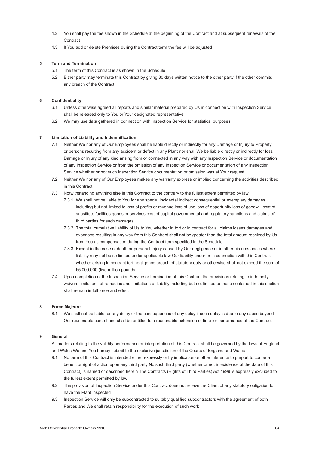- 4.2 You shall pay the fee shown in the Schedule at the beginning of the Contract and at subsequent renewals of the **Contract**
- 4.3 If You add or delete Premises during the Contract term the fee will be adjusted

#### **5 Term and Termination**

- 5.1 The term of this Contract is as shown in the Schedule
- 5.2 Either party may terminate this Contract by giving 30 days written notice to the other party if the other commits any breach of the Contract

#### **6 Confidentiality**

- 6.1 Unless otherwise agreed all reports and similar material prepared by Us in connection with Inspection Service shall be released only to You or Your designated representative
- 6.2 We may use data gathered in connection with Inspection Service for statistical purposes

#### **7 Limitation of Liability and Indemnification**

- 7.1 Neither We nor any of Our Employees shall be liable directly or indirectly for any Damage or Injury to Property or persons resulting from any accident or defect in any Plant nor shall We be liable directly or indirectly for loss Damage or Injury of any kind arising from or connected in any way with any Inspection Service or documentation of any Inspection Service or from the omission of any Inspection Service or documentation of any Inspection Service whether or not such Inspection Service documentation or omission was at Your request
- 7.2 Neither We nor any of Our Employees makes any warranty express or implied concerning the activities described in this Contract
- 7.3 Notwithstanding anything else in this Contract to the contrary to the fullest extent permitted by law
	- 7.3.1 We shall not be liable to You for any special incidental indirect consequential or exemplary damages including but not limited to loss of profits or revenue loss of use loss of opportunity loss of goodwill cost of substitute facilities goods or services cost of capital governmental and regulatory sanctions and claims of third parties for such damages
	- 7.3.2 The total cumulative liability of Us to You whether in tort or in contract for all claims losses damages and expenses resulting in any way from this Contract shall not be greater than the total amount received by Us from You as compensation during the Contract term specified in the Schedule
	- 7.3.3 Except in the case of death or personal Injury caused by Our negligence or in other circumstances where liability may not be so limited under applicable law Our liability under or in connection with this Contract whether arising in contract tort negligence breach of statutory duty or otherwise shall not exceed the sum of £5,000,000 (five million pounds)
- 7.4 Upon completion of the Inspection Service or termination of this Contract the provisions relating to indemnity waivers limitations of remedies and limitations of liability including but not limited to those contained in this section shall remain in full force and effect

#### **8 Force Majeure**

8.1 We shall not be liable for any delay or the consequences of any delay if such delay is due to any cause beyond Our reasonable control and shall be entitled to a reasonable extension of time for performance of the Contract

#### **9 General**

All matters relating to the validity performance or interpretation of this Contract shall be governed by the laws of England and Wales We and You hereby submit to the exclusive jurisdiction of the Courts of England and Wales

- 9.1 No term of this Contract is intended either expressly or by implication or other inference to purport to confer a benefit or right of action upon any third party No such third party (whether or not in existence at the date of this Contract) is named or described herein The Contracts (Rights of Third Parties) Act 1999 is expressly excluded to the fullest extent permitted by law
- 9.2 The provision of Inspection Service under this Contract does not relieve the Client of any statutory obligation to have the Plant inspected
- 9.3 Inspection Service will only be subcontracted to suitably qualified subcontractors with the agreement of both Parties and We shall retain responsibility for the execution of such work